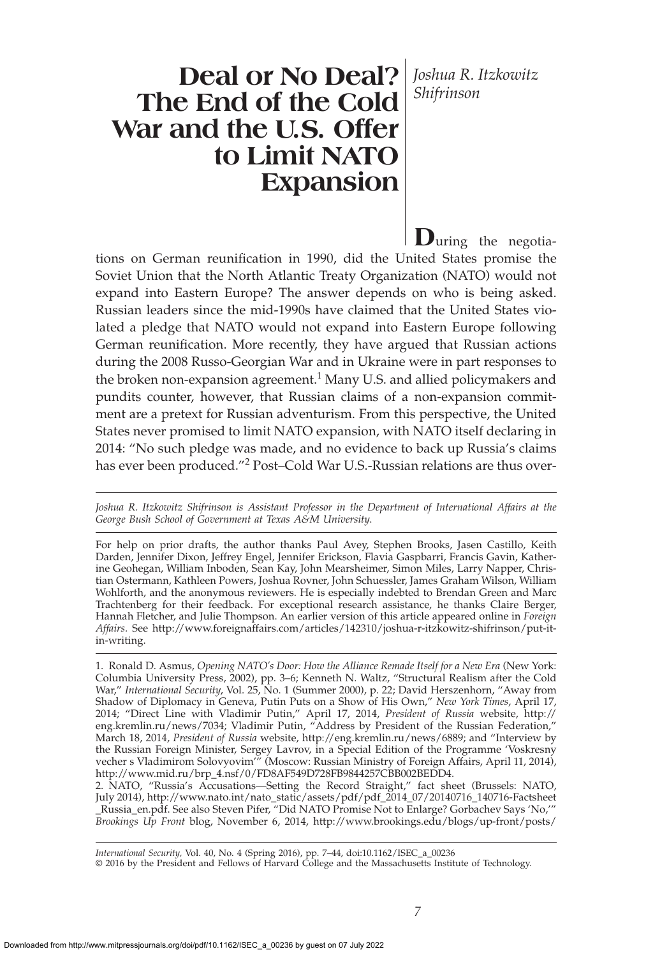*Shifrinson*

# **Deal or No Deal?** *Joshua R. Itzkowitz* **The End of the Cold War and the U.S. Offer to Limit NATO Expansion**

**D**uring the negotiations on German reunification in 1990, did the United States promise the Soviet Union that the North Atlantic Treaty Organization (NATO) would not expand into Eastern Europe? The answer depends on who is being asked. Russian leaders since the mid-1990s have claimed that the United States violated a pledge that NATO would not expand into Eastern Europe following German reunification. More recently, they have argued that Russian actions during the 2008 Russo-Georgian War and in Ukraine were in part responses to the broken non-expansion agreement.<sup>1</sup> Many U.S. and allied policymakers and pundits counter, however, that Russian claims of a non-expansion commitment are a pretext for Russian adventurism. From this perspective, the United States never promised to limit NATO expansion, with NATO itself declaring in 2014: "No such pledge was made, and no evidence to back up Russia's claims has ever been produced."<sup>2</sup> Post-Cold War U.S.-Russian relations are thus over-

*Joshua R. Itzkowitz Shifrinson is Assistant Professor in the Department of International Affairs at the George Bush School of Government at Texas A&M University*.

For help on prior drafts, the author thanks Paul Avey, Stephen Brooks, Jasen Castillo, Keith Darden, Jennifer Dixon, Jeffrey Engel, Jennifer Erickson, Flavia Gaspbarri, Francis Gavin, Katherine Geohegan, William Inboden, Sean Kay, John Mearsheimer, Simon Miles, Larry Napper, Christian Ostermann, Kathleen Powers, Joshua Rovner, John Schuessler, James Graham Wilson, William Wohlforth, and the anonymous reviewers. He is especially indebted to Brendan Green and Marc Trachtenberg for their feedback. For exceptional research assistance, he thanks Claire Berger, Hannah Fletcher, and Julie Thompson. An earlier version of this article appeared online in *Foreign Affairs.* See http://www.foreignaffairs.com/articles/142310/joshua-r-itzkowitz-shifrinson/put-itin-writing.

1. Ronald D. Asmus, *Opening NATO's Door: How the Alliance Remade Itself for a New Era* (New York: Columbia University Press, 2002), pp. 3–6; Kenneth N. Waltz, "Structural Realism after the Cold War," *International Security*, Vol. 25, No. 1 (Summer 2000), p. 22; David Herszenhorn, "Away from Shadow of Diplomacy in Geneva, Putin Puts on a Show of His Own," *New York Times*, April 17, 2014; "Direct Line with Vladimir Putin," April 17, 2014, *President of Russia* website, http:// eng.kremlin.ru/news/7034; Vladimir Putin, "Address by President of the Russian Federation," March 18, 2014, *President of Russia* website, http://eng.kremlin.ru/news/6889; and "Interview by the Russian Foreign Minister, Sergey Lavrov, in a Special Edition of the Programme 'Voskresny vecher s Vladimirom Solovyovim'" (Moscow: Russian Ministry of Foreign Affairs, April 11, 2014), http://www.mid.ru/brp\_4.nsf/0/FD8AF549D728FB9844257CBB002BEDD4.

2. NATO, "Russia's Accusations—Setting the Record Straight," fact sheet (Brussels: NATO, July 2014), http://www.nato.int/nato\_static/assets/pdf/pdf\_2014\_07/20140716\_140716-Factsheet \_Russia\_en.pdf. See also Steven Pifer, "Did NATO Promise Not to Enlarge? Gorbachev Says 'No,'" *Brookings Up Front* blog, November 6, 2014, http://www.brookings.edu/blogs/up-front/posts/

*International Security,* Vol. 40, No. 4 (Spring 2016), pp. 7–44, doi:10.1162/ISEC\_a\_00236 © 2016 by the President and Fellows of Harvard College and the Massachusetts Institute of Technology.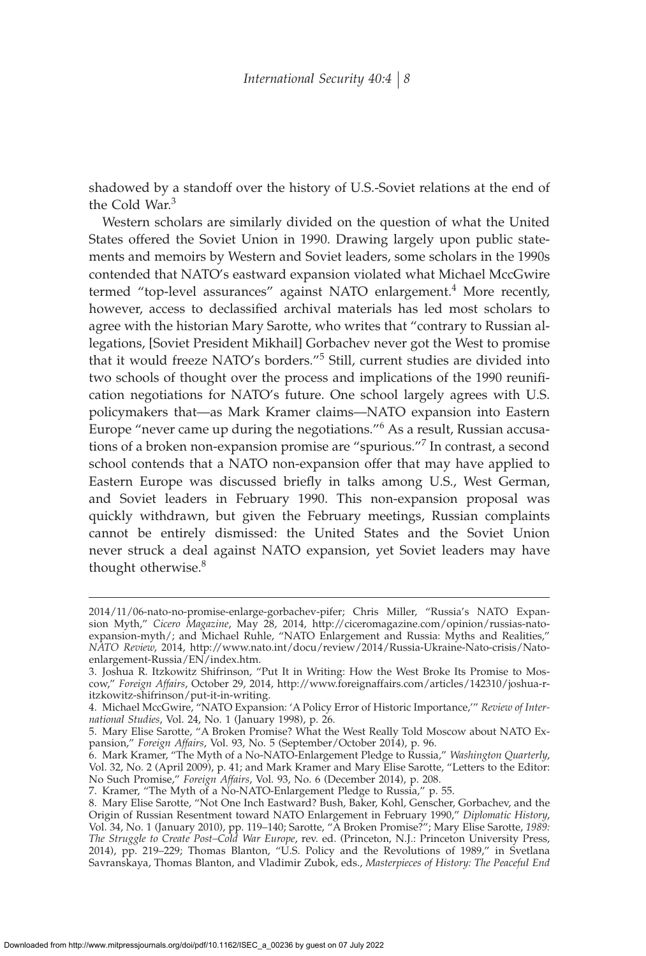shadowed by a standoff over the history of U.S.-Soviet relations at the end of the Cold War.<sup>3</sup>

Western scholars are similarly divided on the question of what the United States offered the Soviet Union in 1990. Drawing largely upon public statements and memoirs by Western and Soviet leaders, some scholars in the 1990s contended that NATO's eastward expansion violated what Michael MccGwire termed "top-level assurances" against NATO enlargement.<sup>4</sup> More recently, however, access to declassified archival materials has led most scholars to agree with the historian Mary Sarotte, who writes that "contrary to Russian allegations, [Soviet President Mikhail] Gorbachev never got the West to promise that it would freeze NATO's borders."<sup>5</sup> Still, current studies are divided into two schools of thought over the process and implications of the 1990 reunification negotiations for NATO's future. One school largely agrees with U.S. policymakers that—as Mark Kramer claims—NATO expansion into Eastern Europe "never came up during the negotiations."<sup>6</sup> As a result, Russian accusations of a broken non-expansion promise are "spurious."<sup>7</sup> In contrast, a second school contends that a NATO non-expansion offer that may have applied to Eastern Europe was discussed briefly in talks among U.S., West German, and Soviet leaders in February 1990. This non-expansion proposal was quickly withdrawn, but given the February meetings, Russian complaints cannot be entirely dismissed: the United States and the Soviet Union never struck a deal against NATO expansion, yet Soviet leaders may have thought otherwise.<sup>8</sup>

<sup>2014/11/06-</sup>nato-no-promise-enlarge-gorbachev-pifer; Chris Miller, "Russia's NATO Expansion Myth," *Cicero Magazine*, May 28, 2014, http://ciceromagazine.com/opinion/russias-natoexpansion-myth/; and Michael Ruhle, "NATO Enlargement and Russia: Myths and Realities," *NATO Review*, 2014, http://www.nato.int/docu/review/2014/Russia-Ukraine-Nato-crisis/Natoenlargement-Russia/EN/index.htm.

<sup>3.</sup> Joshua R. Itzkowitz Shifrinson, "Put It in Writing: How the West Broke Its Promise to Moscow," *Foreign Affairs*, October 29, 2014, http://www.foreignaffairs.com/articles/142310/joshua-ritzkowitz-shifrinson/put-it-in-writing.

<sup>4.</sup> Michael MccGwire, "NATO Expansion: 'A Policy Error of Historic Importance,'" *Review of International Studies*, Vol. 24, No. 1 (January 1998), p. 26.

<sup>5.</sup> Mary Elise Sarotte, "A Broken Promise? What the West Really Told Moscow about NATO Expansion," *Foreign Affairs*, Vol. 93, No. 5 (September/October 2014), p. 96.

<sup>6.</sup> Mark Kramer, "The Myth of a No-NATO-Enlargement Pledge to Russia," *Washington Quarterly*, Vol. 32, No. 2 (April 2009), p. 41; and Mark Kramer and Mary Elise Sarotte, "Letters to the Editor: No Such Promise," *Foreign Affairs*, Vol. 93, No. 6 (December 2014), p. 208.

<sup>7.</sup> Kramer, "The Myth of a No-NATO-Enlargement Pledge to Russia," p. 55.

<sup>8.</sup> Mary Elise Sarotte, "Not One Inch Eastward? Bush, Baker, Kohl, Genscher, Gorbachev, and the Origin of Russian Resentment toward NATO Enlargement in February 1990," *Diplomatic History*, Vol. 34, No. 1 (January 2010), pp. 119–140; Sarotte, "A Broken Promise?"; Mary Elise Sarotte, *1989: The Struggle to Create Post–Cold War Europe*, rev. ed. (Princeton, N.J.: Princeton University Press, 2014), pp. 219–229; Thomas Blanton, "U.S. Policy and the Revolutions of 1989," in Svetlana Savranskaya, Thomas Blanton, and Vladimir Zubok, eds., *Masterpieces of History: The Peaceful End*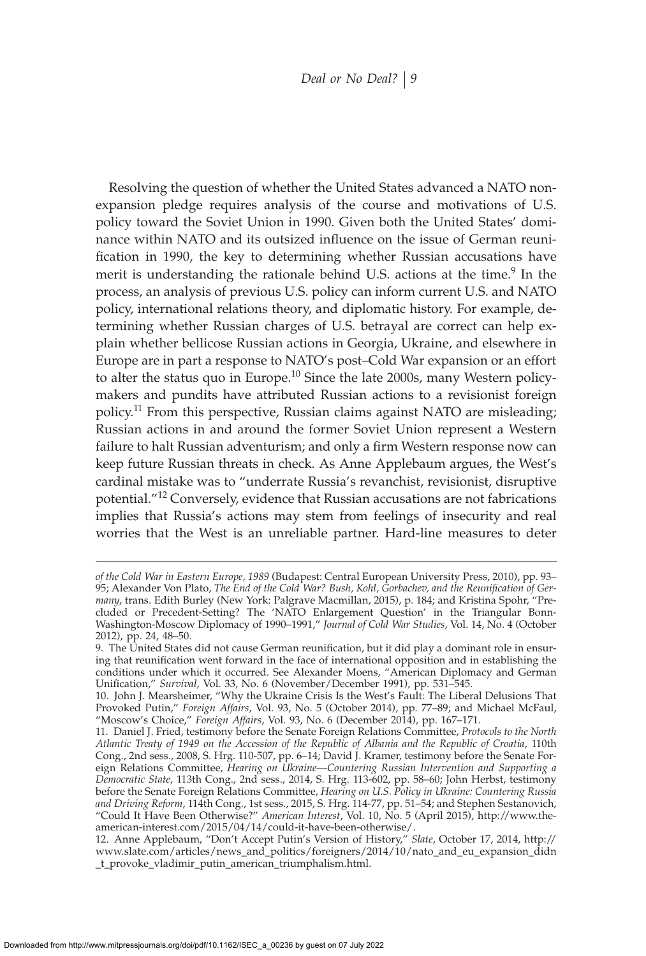Resolving the question of whether the United States advanced a NATO nonexpansion pledge requires analysis of the course and motivations of U.S. policy toward the Soviet Union in 1990. Given both the United States' dominance within NATO and its outsized influence on the issue of German reunification in 1990, the key to determining whether Russian accusations have merit is understanding the rationale behind U.S. actions at the time.<sup>9</sup> In the process, an analysis of previous U.S. policy can inform current U.S. and NATO policy, international relations theory, and diplomatic history. For example, determining whether Russian charges of U.S. betrayal are correct can help explain whether bellicose Russian actions in Georgia, Ukraine, and elsewhere in Europe are in part a response to NATO's post–Cold War expansion or an effort to alter the status quo in Europe.<sup>10</sup> Since the late 2000s, many Western policymakers and pundits have attributed Russian actions to a revisionist foreign policy.<sup>11</sup> From this perspective, Russian claims against NATO are misleading; Russian actions in and around the former Soviet Union represent a Western failure to halt Russian adventurism; and only a firm Western response now can keep future Russian threats in check. As Anne Applebaum argues, the West's cardinal mistake was to "underrate Russia's revanchist, revisionist, disruptive potential."<sup>12</sup> Conversely, evidence that Russian accusations are not fabrications implies that Russia's actions may stem from feelings of insecurity and real worries that the West is an unreliable partner. Hard-line measures to deter

*of the Cold War in Eastern Europe, 1989* (Budapest: Central European University Press, 2010), pp. 93– 95; Alexander Von Plato, The End of the Cold War? Bush, Kohl, Gorbachev, and the Reunification of Ger*many*, trans. Edith Burley (New York: Palgrave Macmillan, 2015), p. 184; and Kristina Spohr, "Precluded or Precedent-Setting? The 'NATO Enlargement Question' in the Triangular Bonn-Washington-Moscow Diplomacy of 1990–1991," *Journal of Cold War Studies*, Vol. 14, No. 4 (October 2012), pp. 24, 48–50.

<sup>9.</sup> The United States did not cause German reunification, but it did play a dominant role in ensuring that reunification went forward in the face of international opposition and in establishing the conditions under which it occurred. See Alexander Moens, "American Diplomacy and German Unification," *Survival, Vol. 33, No. 6 (November/December 1991), pp. 531–545.* 

<sup>10.</sup> John J. Mearsheimer, "Why the Ukraine Crisis Is the West's Fault: The Liberal Delusions That Provoked Putin," *Foreign Affairs*, Vol. 93, No. 5 (October 2014), pp. 77–89; and Michael McFaul, "Moscow's Choice," *Foreign Affairs*, Vol. 93, No. 6 (December 2014), pp. 167–171.

<sup>11.</sup> Daniel J. Fried, testimony before the Senate Foreign Relations Committee, *Protocols to the North Atlantic Treaty of 1949 on the Accession of the Republic of Albania and the Republic of Croatia*, 110th Cong., 2nd sess., 2008, S. Hrg. 110-507, pp. 6–14; David J. Kramer, testimony before the Senate Foreign Relations Committee, *Hearing on Ukraine—Countering Russian Intervention and Supporting a Democratic State*, 113th Cong., 2nd sess., 2014, S. Hrg. 113-602, pp. 58–60; John Herbst, testimony before the Senate Foreign Relations Committee, *Hearing on U.S. Policy in Ukraine: Countering Russia and Driving Reform*, 114th Cong., 1st sess., 2015, S. Hrg. 114-77, pp. 51–54; and Stephen Sestanovich, "Could It Have Been Otherwise?" *American Interest*, Vol. 10, No. 5 (April 2015), http://www.theamerican-interest.com/2015/04/14/could-it-have-been-otherwise/.

<sup>12.</sup> Anne Applebaum, "Don't Accept Putin's Version of History," *Slate*, October 17, 2014, http:// www.slate.com/articles/news\_and\_politics/foreigners/2014/10/nato\_and\_eu\_expansion\_didn \_t\_provoke\_vladimir\_putin\_american\_triumphalism.html.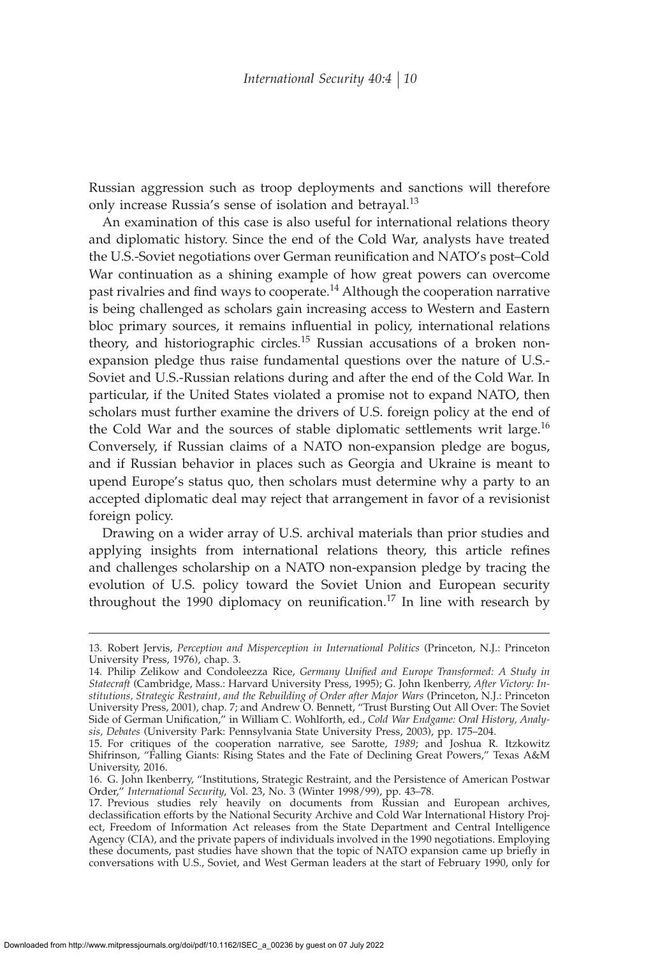Russian aggression such as troop deployments and sanctions will therefore only increase Russia's sense of isolation and betrayal.<sup>13</sup>

An examination of this case is also useful for international relations theory and diplomatic history. Since the end of the Cold War, analysts have treated the U.S.-Soviet negotiations over German reunification and NATO's post–Cold War continuation as a shining example of how great powers can overcome past rivalries and find ways to cooperate.<sup>14</sup> Although the cooperation narrative is being challenged as scholars gain increasing access to Western and Eastern bloc primary sources, it remains influential in policy, international relations theory, and historiographic circles.<sup>15</sup> Russian accusations of a broken nonexpansion pledge thus raise fundamental questions over the nature of U.S.- Soviet and U.S.-Russian relations during and after the end of the Cold War. In particular, if the United States violated a promise not to expand NATO, then scholars must further examine the drivers of U.S. foreign policy at the end of the Cold War and the sources of stable diplomatic settlements writ large.<sup>16</sup> Conversely, if Russian claims of a NATO non-expansion pledge are bogus, and if Russian behavior in places such as Georgia and Ukraine is meant to upend Europe's status quo, then scholars must determine why a party to an accepted diplomatic deal may reject that arrangement in favor of a revisionist foreign policy.

Drawing on a wider array of U.S. archival materials than prior studies and applying insights from international relations theory, this article refines and challenges scholarship on a NATO non-expansion pledge by tracing the evolution of U.S. policy toward the Soviet Union and European security throughout the 1990 diplomacy on reunification.<sup>17</sup> In line with research by

<sup>13.</sup> Robert Jervis, *Perception and Misperception in International Politics* (Princeton, N.J.: Princeton University Press, 1976), chap. 3.

<sup>14.</sup> Philip Zelikow and Condoleezza Rice, Germany Unified and Europe Transformed: A Study in *Statecraft* (Cambridge, Mass.: Harvard University Press, 1995); G. John Ikenberry, *After Victory: Institutions, Strategic Restraint, and the Rebuilding of Order after Major Wars* (Princeton, N.J.: Princeton University Press, 2001), chap. 7; and Andrew O. Bennett, "Trust Bursting Out All Over: The Soviet Side of German Unification," in William C. Wohlforth, ed., *Cold War Endgame: Oral History, Analysis, Debates* (University Park: Pennsylvania State University Press, 2003), pp. 175–204.

<sup>15.</sup> For critiques of the cooperation narrative, see Sarotte, *1989*; and Joshua R. Itzkowitz Shifrinson, "Falling Giants: Rising States and the Fate of Declining Great Powers," Texas A&M University, 2016.

<sup>16.</sup> G. John Ikenberry, "Institutions, Strategic Restraint, and the Persistence of American Postwar Order," *International Security*, Vol. 23, No. 3 (Winter 1998/99), pp. 43–78.

<sup>17.</sup> Previous studies rely heavily on documents from Russian and European archives, declassification efforts by the National Security Archive and Cold War International History Project, Freedom of Information Act releases from the State Department and Central Intelligence Agency (CIA), and the private papers of individuals involved in the 1990 negotiations. Employing these documents, past studies have shown that the topic of NATO expansion came up briefly in conversations with U.S., Soviet, and West German leaders at the start of February 1990, only for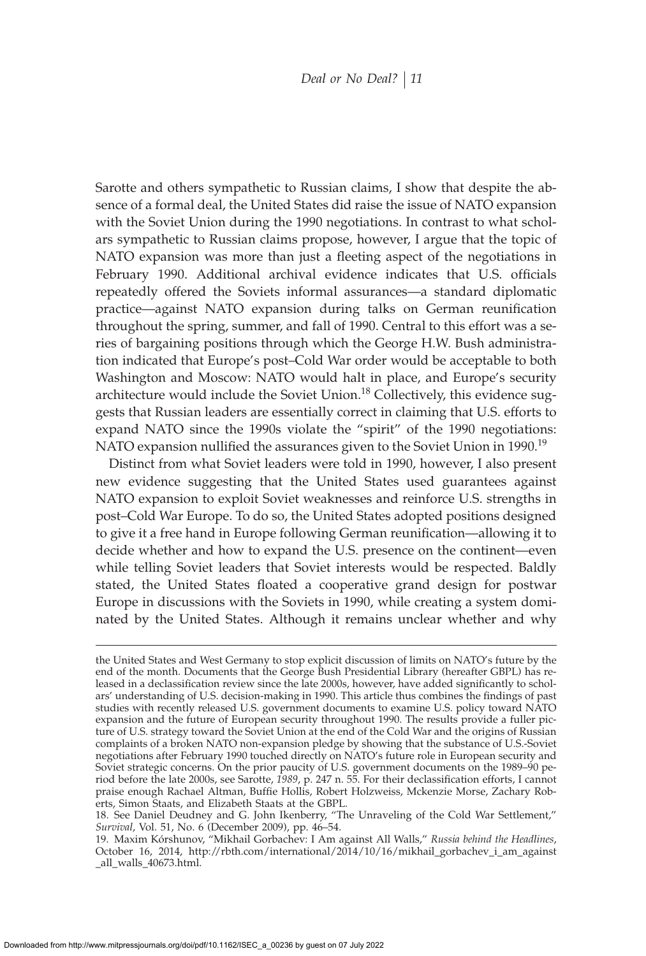Sarotte and others sympathetic to Russian claims, I show that despite the absence of a formal deal, the United States did raise the issue of NATO expansion with the Soviet Union during the 1990 negotiations. In contrast to what scholars sympathetic to Russian claims propose, however, I argue that the topic of NATO expansion was more than just a fleeting aspect of the negotiations in February 1990. Additional archival evidence indicates that U.S. officials repeatedly offered the Soviets informal assurances—a standard diplomatic practice—against NATO expansion during talks on German reunification throughout the spring, summer, and fall of 1990. Central to this effort was a series of bargaining positions through which the George H.W. Bush administration indicated that Europe's post–Cold War order would be acceptable to both Washington and Moscow: NATO would halt in place, and Europe's security architecture would include the Soviet Union.<sup>18</sup> Collectively, this evidence suggests that Russian leaders are essentially correct in claiming that U.S. efforts to expand NATO since the 1990s violate the "spirit" of the 1990 negotiations: NATO expansion nullified the assurances given to the Soviet Union in 1990.<sup>19</sup>

Distinct from what Soviet leaders were told in 1990, however, I also present new evidence suggesting that the United States used guarantees against NATO expansion to exploit Soviet weaknesses and reinforce U.S. strengths in post–Cold War Europe. To do so, the United States adopted positions designed to give it a free hand in Europe following German reunification—allowing it to decide whether and how to expand the U.S. presence on the continent—even while telling Soviet leaders that Soviet interests would be respected. Baldly stated, the United States floated a cooperative grand design for postwar Europe in discussions with the Soviets in 1990, while creating a system dominated by the United States. Although it remains unclear whether and why

the United States and West Germany to stop explicit discussion of limits on NATO's future by the end of the month. Documents that the George Bush Presidential Library (hereafter GBPL) has released in a declassification review since the late 2000s, however, have added significantly to scholars' understanding of U.S. decision-making in 1990. This article thus combines the findings of past studies with recently released U.S. government documents to examine U.S. policy toward NATO expansion and the future of European security throughout 1990. The results provide a fuller picture of U.S. strategy toward the Soviet Union at the end of the Cold War and the origins of Russian complaints of a broken NATO non-expansion pledge by showing that the substance of U.S.-Soviet negotiations after February 1990 touched directly on NATO's future role in European security and Soviet strategic concerns. On the prior paucity of U.S. government documents on the 1989–90 period before the late 2000s, see Sarotte, 1989, p. 247 n. 55. For their declassification efforts, I cannot praise enough Rachael Altman, Buffie Hollis, Robert Holzweiss, Mckenzie Morse, Zachary Roberts, Simon Staats, and Elizabeth Staats at the GBPL.

<sup>18.</sup> See Daniel Deudney and G. John Ikenberry, "The Unraveling of the Cold War Settlement," *Survival*, Vol. 51, No. 6 (December 2009), pp. 46–54.

<sup>19.</sup> Maxim Kórshunov, "Mikhail Gorbachev: I Am against All Walls," *Russia behind the Headlines*, October 16, 2014, http://rbth.com/international/2014/10/16/mikhail\_gorbachev\_i\_am\_against \_all\_walls\_40673.html.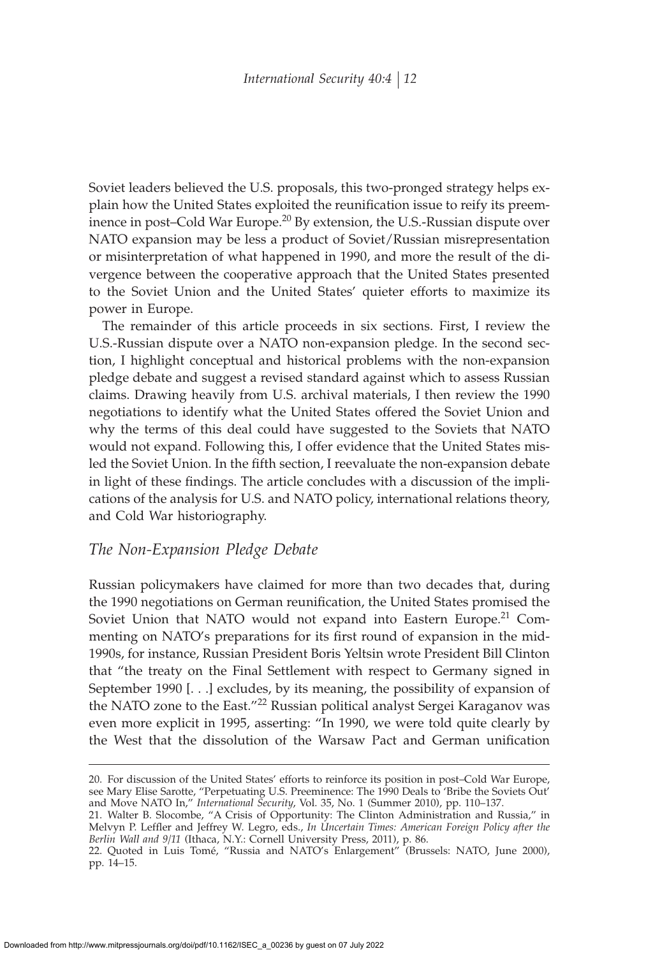Soviet leaders believed the U.S. proposals, this two-pronged strategy helps explain how the United States exploited the reunification issue to reify its preeminence in post–Cold War Europe.<sup>20</sup> By extension, the U.S.-Russian dispute over NATO expansion may be less a product of Soviet/Russian misrepresentation or misinterpretation of what happened in 1990, and more the result of the divergence between the cooperative approach that the United States presented to the Soviet Union and the United States' quieter efforts to maximize its power in Europe.

The remainder of this article proceeds in six sections. First, I review the U.S.-Russian dispute over a NATO non-expansion pledge. In the second section, I highlight conceptual and historical problems with the non-expansion pledge debate and suggest a revised standard against which to assess Russian claims. Drawing heavily from U.S. archival materials, I then review the 1990 negotiations to identify what the United States offered the Soviet Union and why the terms of this deal could have suggested to the Soviets that NATO would not expand. Following this, I offer evidence that the United States misled the Soviet Union. In the fifth section, I reevaluate the non-expansion debate in light of these findings. The article concludes with a discussion of the implications of the analysis for U.S. and NATO policy, international relations theory, and Cold War historiography.

## *The Non-Expansion Pledge Debate*

Russian policymakers have claimed for more than two decades that, during the 1990 negotiations on German reunification, the United States promised the Soviet Union that NATO would not expand into Eastern Europe.<sup>21</sup> Commenting on NATO's preparations for its first round of expansion in the mid-1990s, for instance, Russian President Boris Yeltsin wrote President Bill Clinton that "the treaty on the Final Settlement with respect to Germany signed in September 1990 [. . .] excludes, by its meaning, the possibility of expansion of the NATO zone to the East."<sup>22</sup> Russian political analyst Sergei Karaganov was even more explicit in 1995, asserting: "In 1990, we were told quite clearly by the West that the dissolution of the Warsaw Pact and German unification

<sup>20.</sup> For discussion of the United States' efforts to reinforce its position in post–Cold War Europe, see Mary Elise Sarotte, "Perpetuating U.S. Preeminence: The 1990 Deals to 'Bribe the Soviets Out' and Move NATO In," *International Security*, Vol. 35, No. 1 (Summer 2010), pp. 110–137.

<sup>21.</sup> Walter B. Slocombe, "A Crisis of Opportunity: The Clinton Administration and Russia," in Melvyn P. Leffler and Jeffrey W. Legro*,* eds., *In Uncertain Times: American Foreign Policy after the Berlin Wall and 9/11* (Ithaca, N.Y.: Cornell University Press, 2011), p. 86.

<sup>22.</sup> Quoted in Luis Tomé, "Russia and NATO's Enlargement" (Brussels: NATO, June 2000), pp. 14–15.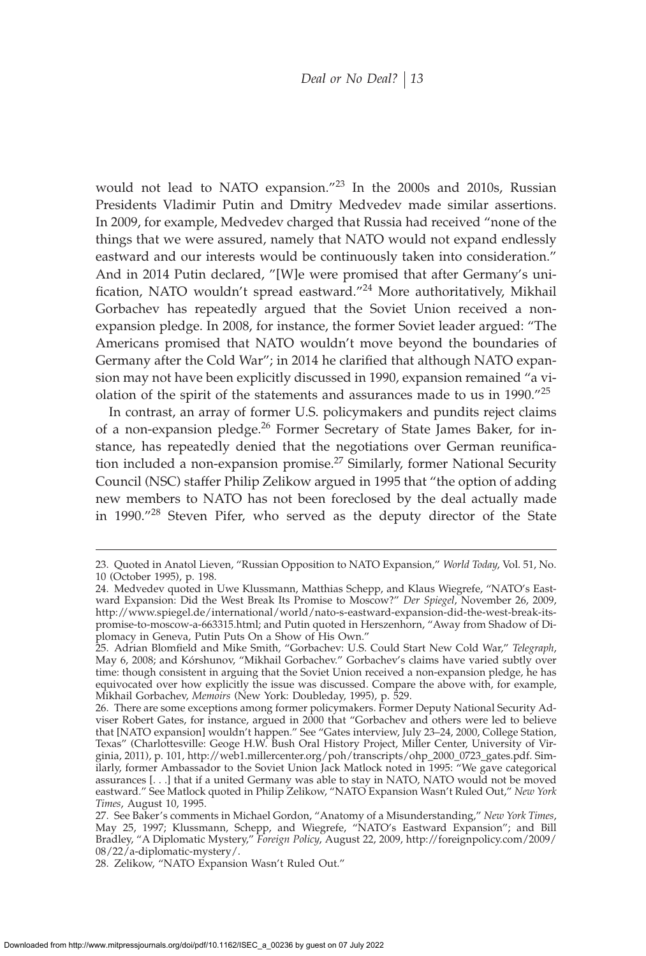would not lead to NATO expansion."<sup>23</sup> In the 2000s and 2010s, Russian Presidents Vladimir Putin and Dmitry Medvedev made similar assertions. In 2009, for example, Medvedev charged that Russia had received "none of the things that we were assured, namely that NATO would not expand endlessly eastward and our interests would be continuously taken into consideration." And in 2014 Putin declared, "[W]e were promised that after Germany's unification, NATO wouldn't spread eastward."<sup>24</sup> More authoritatively, Mikhail Gorbachev has repeatedly argued that the Soviet Union received a nonexpansion pledge. In 2008, for instance, the former Soviet leader argued: "The Americans promised that NATO wouldn't move beyond the boundaries of Germany after the Cold War"; in 2014 he clarified that although NATO expansion may not have been explicitly discussed in 1990, expansion remained "a violation of the spirit of the statements and assurances made to us in 1990."<sup>25</sup>

In contrast, an array of former U.S. policymakers and pundits reject claims of a non-expansion pledge.<sup>26</sup> Former Secretary of State James Baker, for instance, has repeatedly denied that the negotiations over German reunification included a non-expansion promise.<sup>27</sup> Similarly, former National Security Council (NSC) staffer Philip Zelikow argued in 1995 that "the option of adding new members to NATO has not been foreclosed by the deal actually made in 1990."<sup>28</sup> Steven Pifer, who served as the deputy director of the State

<sup>23.</sup> Quoted in Anatol Lieven, "Russian Opposition to NATO Expansion," *World Today*, Vol. 51, No. 10 (October 1995), p. 198.

<sup>24.</sup> Medvedev quoted in Uwe Klussmann, Matthias Schepp, and Klaus Wiegrefe, "NATO's Eastward Expansion: Did the West Break Its Promise to Moscow?" *Der Spiegel*, November 26, 2009, http://www.spiegel.de/international/world/nato-s-eastward-expansion-did-the-west-break-itspromise-to-moscow-a-663315.html; and Putin quoted in Herszenhorn, "Away from Shadow of Diplomacy in Geneva, Putin Puts On a Show of His Own."

<sup>25.</sup> Adrian Blomªeld and Mike Smith, "Gorbachev: U.S. Could Start New Cold War," *Telegraph*, May 6, 2008; and Kórshunov, "Mikhail Gorbachev." Gorbachev's claims have varied subtly over time: though consistent in arguing that the Soviet Union received a non-expansion pledge, he has equivocated over how explicitly the issue was discussed. Compare the above with, for example, Mikhail Gorbachev, *Memoirs* (New York: Doubleday, 1995), p. 529.

<sup>26.</sup> There are some exceptions among former policymakers. Former Deputy National Security Adviser Robert Gates, for instance, argued in 2000 that "Gorbachev and others were led to believe that [NATO expansion] wouldn't happen." See "Gates interview, July 23–24, 2000, College Station, Texas" (Charlottesville: Geoge H.W. Bush Oral History Project, Miller Center, University of Virginia, 2011), p. 101, http://web1.millercenter.org/poh/transcripts/ohp\_2000\_0723\_gates.pdf. Similarly, former Ambassador to the Soviet Union Jack Matlock noted in 1995: "We gave categorical assurances [. . .] that if a united Germany was able to stay in NATO, NATO would not be moved eastward." See Matlock quoted in Philip Zelikow, "NATO Expansion Wasn't Ruled Out," *New York Times*, August 10, 1995.

<sup>27.</sup> See Baker's comments in Michael Gordon, "Anatomy of a Misunderstanding," *New York Times*, May 25, 1997; Klussmann, Schepp, and Wiegrefe, "NATO's Eastward Expansion"; and Bill Bradley, "A Diplomatic Mystery," *Foreign Policy*, August 22, 2009, http://foreignpolicy.com/2009/ 08/22/a-diplomatic-mystery/.

<sup>28.</sup> Zelikow, "NATO Expansion Wasn't Ruled Out."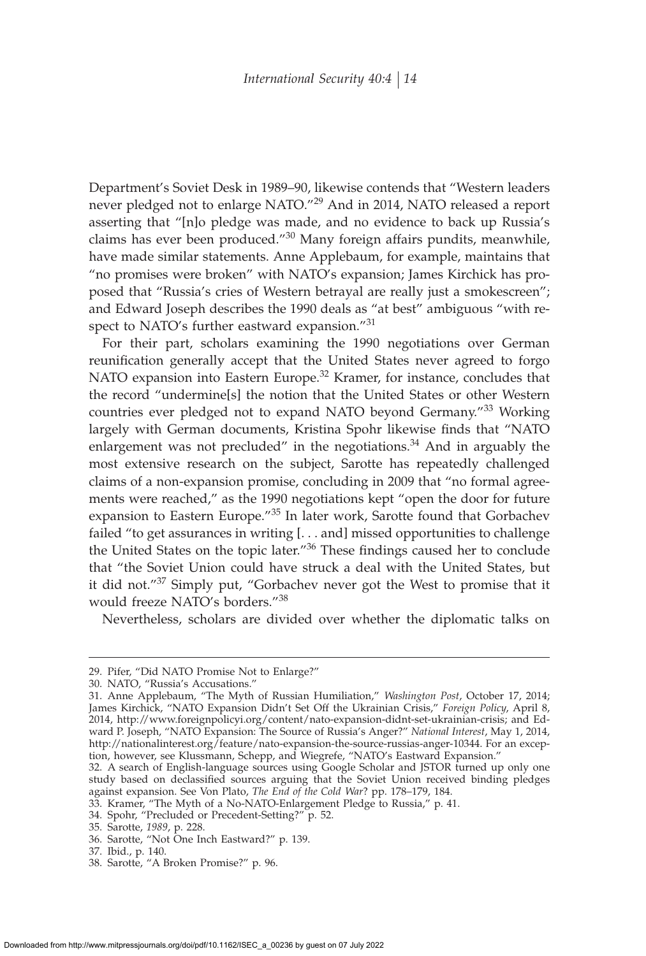Department's Soviet Desk in 1989–90, likewise contends that "Western leaders never pledged not to enlarge NATO."<sup>29</sup> And in 2014, NATO released a report asserting that "[n]o pledge was made, and no evidence to back up Russia's claims has ever been produced."<sup>30</sup> Many foreign affairs pundits, meanwhile, have made similar statements. Anne Applebaum, for example, maintains that "no promises were broken" with NATO's expansion; James Kirchick has proposed that "Russia's cries of Western betrayal are really just a smokescreen"; and Edward Joseph describes the 1990 deals as "at best" ambiguous "with respect to NATO's further eastward expansion."<sup>31</sup>

For their part, scholars examining the 1990 negotiations over German reunification generally accept that the United States never agreed to forgo NATO expansion into Eastern Europe.<sup>32</sup> Kramer, for instance, concludes that the record "undermine[s] the notion that the United States or other Western countries ever pledged not to expand NATO beyond Germany."<sup>33</sup> Working largely with German documents, Kristina Spohr likewise finds that "NATO enlargement was not precluded" in the negotiations.<sup>34</sup> And in arguably the most extensive research on the subject, Sarotte has repeatedly challenged claims of a non-expansion promise, concluding in 2009 that "no formal agreements were reached," as the 1990 negotiations kept "open the door for future expansion to Eastern Europe."<sup>35</sup> In later work, Sarotte found that Gorbachev failed "to get assurances in writing [. . . and] missed opportunities to challenge the United States on the topic later." $36$  These findings caused her to conclude that "the Soviet Union could have struck a deal with the United States, but it did not."<sup>37</sup> Simply put, "Gorbachev never got the West to promise that it would freeze NATO's borders."<sup>38</sup>

Nevertheless, scholars are divided over whether the diplomatic talks on

<sup>29.</sup> Pifer, "Did NATO Promise Not to Enlarge?"

<sup>30.</sup> NATO, "Russia's Accusations."

<sup>31.</sup> Anne Applebaum, "The Myth of Russian Humiliation," *Washington Post*, October 17, 2014; James Kirchick, "NATO Expansion Didn't Set Off the Ukrainian Crisis," *Foreign Policy*, April 8, 2014, http://www.foreignpolicyi.org/content/nato-expansion-didnt-set-ukrainian-crisis; and Edward P. Joseph, "NATO Expansion: The Source of Russia's Anger?" *National Interest*, May 1, 2014, http://nationalinterest.org/feature/nato-expansion-the-source-russias-anger-10344. For an exception, however, see Klussmann, Schepp, and Wiegrefe, "NATO's Eastward Expansion."

<sup>32.</sup> A search of English-language sources using Google Scholar and JSTOR turned up only one study based on declassified sources arguing that the Soviet Union received binding pledges against expansion. See Von Plato, *The End of the Cold War*? pp. 178–179, 184.

<sup>33.</sup> Kramer, "The Myth of a No-NATO-Enlargement Pledge to Russia," p. 41.

<sup>34.</sup> Spohr, "Precluded or Precedent-Setting?" p. 52.

<sup>35.</sup> Sarotte, *1989*, p. 228.

<sup>36.</sup> Sarotte, "Not One Inch Eastward?" p. 139.

<sup>37.</sup> Ibid., p. 140.

<sup>38.</sup> Sarotte, "A Broken Promise?" p. 96.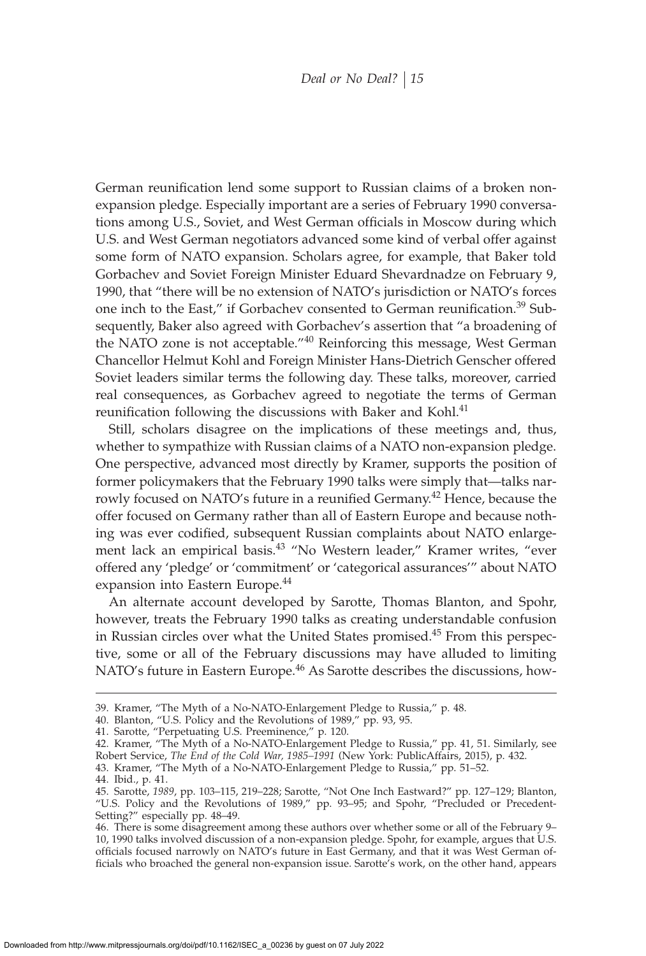German reunification lend some support to Russian claims of a broken nonexpansion pledge. Especially important are a series of February 1990 conversations among U.S., Soviet, and West German officials in Moscow during which U.S. and West German negotiators advanced some kind of verbal offer against some form of NATO expansion. Scholars agree, for example, that Baker told Gorbachev and Soviet Foreign Minister Eduard Shevardnadze on February 9, 1990, that "there will be no extension of NATO's jurisdiction or NATO's forces one inch to the East," if Gorbachev consented to German reunification.<sup>39</sup> Subsequently, Baker also agreed with Gorbachev's assertion that "a broadening of the NATO zone is not acceptable."<sup>40</sup> Reinforcing this message, West German Chancellor Helmut Kohl and Foreign Minister Hans-Dietrich Genscher offered Soviet leaders similar terms the following day. These talks, moreover, carried real consequences, as Gorbachev agreed to negotiate the terms of German reunification following the discussions with Baker and Kohl.<sup>41</sup>

Still, scholars disagree on the implications of these meetings and, thus, whether to sympathize with Russian claims of a NATO non-expansion pledge. One perspective, advanced most directly by Kramer, supports the position of former policymakers that the February 1990 talks were simply that—talks narrowly focused on NATO's future in a reunified Germany.<sup>42</sup> Hence, because the offer focused on Germany rather than all of Eastern Europe and because nothing was ever codified, subsequent Russian complaints about NATO enlargement lack an empirical basis.<sup>43</sup> "No Western leader," Kramer writes, "ever offered any 'pledge' or 'commitment' or 'categorical assurances'" about NATO expansion into Eastern Europe.<sup>44</sup>

An alternate account developed by Sarotte, Thomas Blanton, and Spohr, however, treats the February 1990 talks as creating understandable confusion in Russian circles over what the United States promised.<sup>45</sup> From this perspective, some or all of the February discussions may have alluded to limiting NATO's future in Eastern Europe.<sup>46</sup> As Sarotte describes the discussions, how-

<sup>39.</sup> Kramer, "The Myth of a No-NATO-Enlargement Pledge to Russia," p. 48.

<sup>40.</sup> Blanton, "U.S. Policy and the Revolutions of 1989," pp. 93, 95.

<sup>41.</sup> Sarotte, "Perpetuating U.S. Preeminence," p. 120.

<sup>42.</sup> Kramer, "The Myth of a No-NATO-Enlargement Pledge to Russia," pp. 41, 51. Similarly, see Robert Service, *The End of the Cold War, 1985–1991* (New York: PublicAffairs, 2015), p. 432. 43. Kramer, "The Myth of a No-NATO-Enlargement Pledge to Russia," pp. 51–52.

<sup>44.</sup> Ibid., p. 41.

<sup>45.</sup> Sarotte, *1989*, pp. 103–115, 219–228; Sarotte, "Not One Inch Eastward?" pp. 127–129; Blanton, "U.S. Policy and the Revolutions of 1989," pp. 93–95; and Spohr, "Precluded or Precedent-Setting?" especially pp. 48–49.

<sup>46.</sup> There is some disagreement among these authors over whether some or all of the February 9– 10, 1990 talks involved discussion of a non-expansion pledge. Spohr, for example, argues that U.S. officials focused narrowly on NATO's future in East Germany, and that it was West German officials who broached the general non-expansion issue. Sarotte's work, on the other hand, appears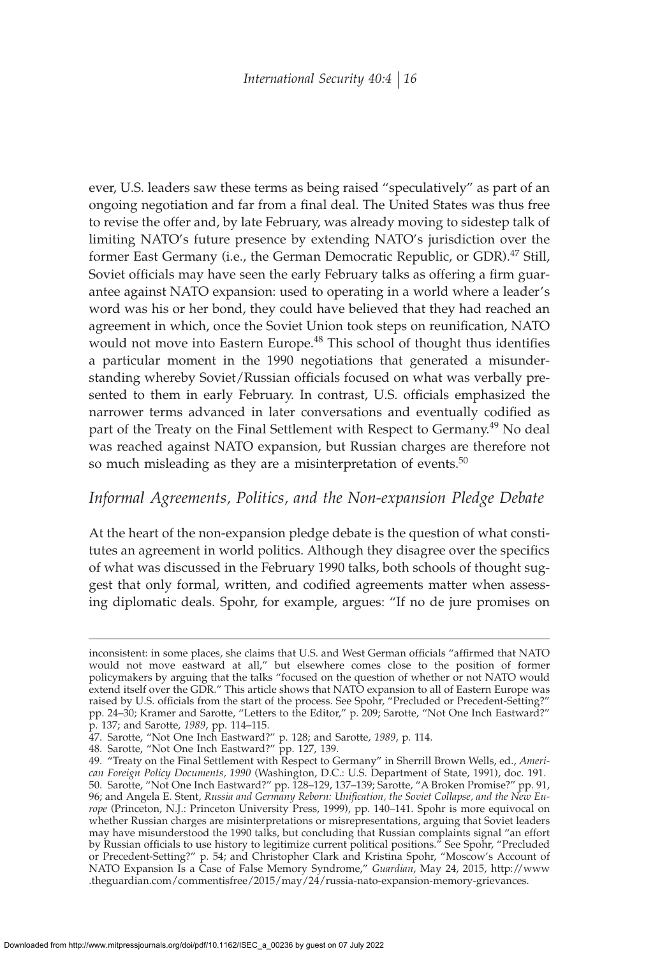ever, U.S. leaders saw these terms as being raised "speculatively" as part of an ongoing negotiation and far from a final deal. The United States was thus free to revise the offer and, by late February, was already moving to sidestep talk of limiting NATO's future presence by extending NATO's jurisdiction over the former East Germany (i.e., the German Democratic Republic, or GDR).<sup>47</sup> Still, Soviet officials may have seen the early February talks as offering a firm guarantee against NATO expansion: used to operating in a world where a leader's word was his or her bond, they could have believed that they had reached an agreement in which, once the Soviet Union took steps on reunification, NATO would not move into Eastern Europe.<sup>48</sup> This school of thought thus identifies a particular moment in the 1990 negotiations that generated a misunderstanding whereby Soviet/Russian officials focused on what was verbally presented to them in early February. In contrast, U.S. officials emphasized the narrower terms advanced in later conversations and eventually codified as part of the Treaty on the Final Settlement with Respect to Germany.<sup>49</sup> No deal was reached against NATO expansion, but Russian charges are therefore not so much misleading as they are a misinterpretation of events. $50$ 

# *Informal Agreements, Politics, and the Non-expansion Pledge Debate*

At the heart of the non-expansion pledge debate is the question of what constitutes an agreement in world politics. Although they disagree over the specifics of what was discussed in the February 1990 talks, both schools of thought suggest that only formal, written, and codified agreements matter when assessing diplomatic deals. Spohr, for example, argues: "If no de jure promises on

inconsistent: in some places, she claims that U.S. and West German officials "affirmed that NATO would not move eastward at all," but elsewhere comes close to the position of former policymakers by arguing that the talks "focused on the question of whether or not NATO would extend itself over the GDR." This article shows that NATO expansion to all of Eastern Europe was raised by U.S. officials from the start of the process. See Spohr, "Precluded or Precedent-Setting?" pp. 24–30; Kramer and Sarotte, "Letters to the Editor," p. 209; Sarotte, "Not One Inch Eastward?" p. 137; and Sarotte, *1989*, pp. 114–115.

<sup>47.</sup> Sarotte, "Not One Inch Eastward?" p. 128; and Sarotte, *1989*, p. 114.

<sup>48.</sup> Sarotte, "Not One Inch Eastward?" pp. 127, 139.

<sup>49. &</sup>quot;Treaty on the Final Settlement with Respect to Germany" in Sherrill Brown Wells, ed., *American Foreign Policy Documents, 1990* (Washington, D.C.: U.S. Department of State, 1991), doc. 191. 50. Sarotte, "Not One Inch Eastward?" pp. 128–129, 137–139; Sarotte, "A Broken Promise?" pp. 91, 96; and Angela E. Stent*, Russia and Germany Reborn: Unification, the Soviet Collapse, and the New Europe* (Princeton, N.J.: Princeton University Press, 1999), pp. 140–141. Spohr is more equivocal on whether Russian charges are misinterpretations or misrepresentations, arguing that Soviet leaders may have misunderstood the 1990 talks, but concluding that Russian complaints signal "an effort by Russian officials to use history to legitimize current political positions." See Spohr, "Precluded or Precedent-Setting?" p. 54; and Christopher Clark and Kristina Spohr, "Moscow's Account of NATO Expansion Is a Case of False Memory Syndrome," *Guardian*, May 24, 2015, http://www .theguardian.com/commentisfree/2015/may/24/russia-nato-expansion-memory-grievances.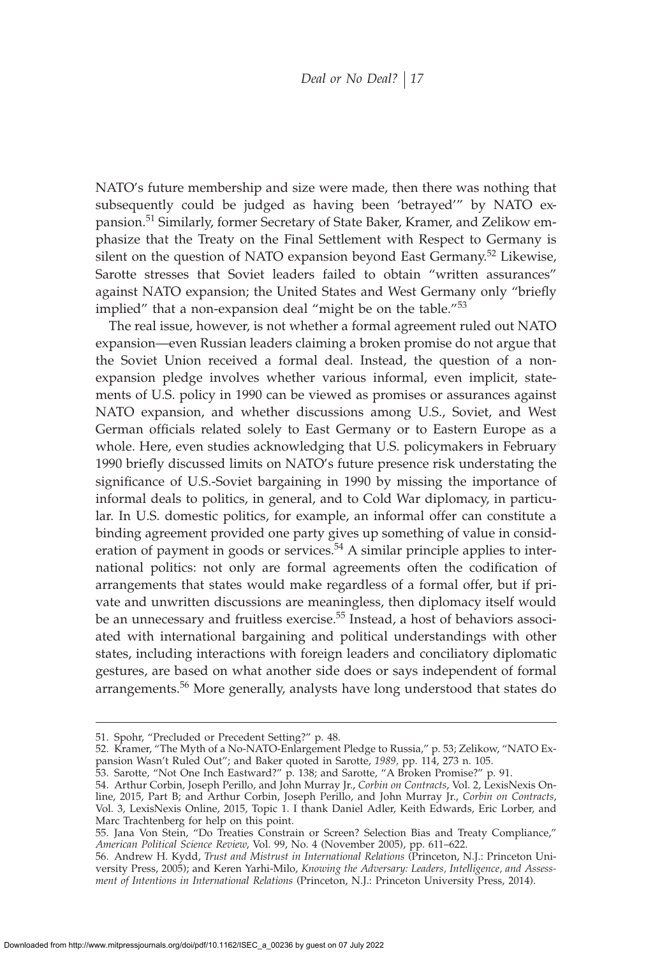NATO's future membership and size were made, then there was nothing that subsequently could be judged as having been 'betrayed'" by NATO expansion.<sup>51</sup> Similarly, former Secretary of State Baker, Kramer, and Zelikow emphasize that the Treaty on the Final Settlement with Respect to Germany is silent on the question of NATO expansion beyond East Germany.<sup>52</sup> Likewise, Sarotte stresses that Soviet leaders failed to obtain "written assurances" against NATO expansion; the United States and West Germany only "briefly implied" that a non-expansion deal "might be on the table."<sup>53</sup>

The real issue, however, is not whether a formal agreement ruled out NATO expansion—even Russian leaders claiming a broken promise do not argue that the Soviet Union received a formal deal. Instead, the question of a nonexpansion pledge involves whether various informal, even implicit, statements of U.S. policy in 1990 can be viewed as promises or assurances against NATO expansion, and whether discussions among U.S., Soviet, and West German officials related solely to East Germany or to Eastern Europe as a whole. Here, even studies acknowledging that U.S. policymakers in February 1990 briefly discussed limits on NATO's future presence risk understating the significance of U.S.-Soviet bargaining in 1990 by missing the importance of informal deals to politics, in general, and to Cold War diplomacy, in particular. In U.S. domestic politics, for example, an informal offer can constitute a binding agreement provided one party gives up something of value in consideration of payment in goods or services.<sup>54</sup> A similar principle applies to international politics: not only are formal agreements often the codification of arrangements that states would make regardless of a formal offer, but if private and unwritten discussions are meaningless, then diplomacy itself would be an unnecessary and fruitless exercise.<sup>55</sup> Instead, a host of behaviors associated with international bargaining and political understandings with other states, including interactions with foreign leaders and conciliatory diplomatic gestures, are based on what another side does or says independent of formal arrangements.<sup>56</sup> More generally, analysts have long understood that states do

<sup>51.</sup> Spohr, "Precluded or Precedent Setting?" p. 48.

<sup>52.</sup> Kramer, "The Myth of a No-NATO-Enlargement Pledge to Russia," p. 53; Zelikow, "NATO Expansion Wasn't Ruled Out"; and Baker quoted in Sarotte, *1989,* pp. 114, 273 n. 105.

<sup>53.</sup> Sarotte, "Not One Inch Eastward?" p. 138; and Sarotte, "A Broken Promise?" p. 91.

<sup>54.</sup> Arthur Corbin, Joseph Perillo, and John Murray Jr., *Corbin on Contracts*, Vol. 2, LexisNexis Online, 2015, Part B; and Arthur Corbin, Joseph Perillo, and John Murray Jr., *Corbin on Contracts*, Vol. 3, LexisNexis Online, 2015, Topic 1. I thank Daniel Adler, Keith Edwards, Eric Lorber, and Marc Trachtenberg for help on this point.

<sup>55.</sup> Jana Von Stein, "Do Treaties Constrain or Screen? Selection Bias and Treaty Compliance," *American Political Science Review*, Vol. 99, No. 4 (November 2005), pp. 611–622.

<sup>56.</sup> Andrew H. Kydd, *Trust and Mistrust in International Relations* (Princeton, N.J.: Princeton University Press, 2005); and Keren Yarhi-Milo, *Knowing the Adversary: Leaders, Intelligence, and Assessment of Intentions in International Relations* (Princeton, N.J.: Princeton University Press, 2014).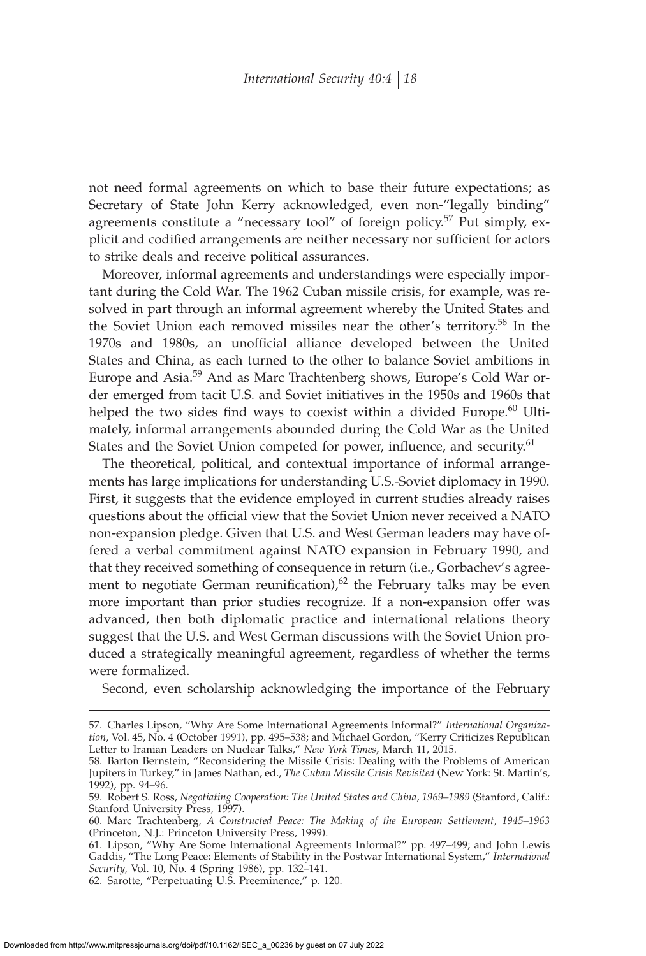not need formal agreements on which to base their future expectations; as Secretary of State John Kerry acknowledged, even non-"legally binding" agreements constitute a "necessary tool" of foreign policy.<sup>57</sup> Put simply, explicit and codified arrangements are neither necessary nor sufficient for actors to strike deals and receive political assurances.

Moreover, informal agreements and understandings were especially important during the Cold War. The 1962 Cuban missile crisis, for example, was resolved in part through an informal agreement whereby the United States and the Soviet Union each removed missiles near the other's territory.<sup>58</sup> In the 1970s and 1980s, an unofficial alliance developed between the United States and China, as each turned to the other to balance Soviet ambitions in Europe and Asia.<sup>59</sup> And as Marc Trachtenberg shows, Europe's Cold War order emerged from tacit U.S. and Soviet initiatives in the 1950s and 1960s that helped the two sides find ways to coexist within a divided Europe.<sup>60</sup> Ultimately, informal arrangements abounded during the Cold War as the United States and the Soviet Union competed for power, influence, and security.<sup>61</sup>

The theoretical, political, and contextual importance of informal arrangements has large implications for understanding U.S.-Soviet diplomacy in 1990. First, it suggests that the evidence employed in current studies already raises questions about the official view that the Soviet Union never received a NATO non-expansion pledge. Given that U.S. and West German leaders may have offered a verbal commitment against NATO expansion in February 1990, and that they received something of consequence in return (i.e., Gorbachev's agreement to negotiate German reunification), $62$  the February talks may be even more important than prior studies recognize. If a non-expansion offer was advanced, then both diplomatic practice and international relations theory suggest that the U.S. and West German discussions with the Soviet Union produced a strategically meaningful agreement, regardless of whether the terms were formalized.

Second, even scholarship acknowledging the importance of the February

<sup>57.</sup> Charles Lipson, "Why Are Some International Agreements Informal?" *International Organization*, Vol. 45, No. 4 (October 1991), pp. 495–538; and Michael Gordon, "Kerry Criticizes Republican Letter to Iranian Leaders on Nuclear Talks," *New York Times*, March 11, 2015.

<sup>58.</sup> Barton Bernstein, "Reconsidering the Missile Crisis: Dealing with the Problems of American Jupiters in Turkey," in James Nathan, ed., *The Cuban Missile Crisis Revisited* (New York: St. Martin's, 1992), pp. 94–96.

<sup>59.</sup> Robert S. Ross, *Negotiating Cooperation: The United States and China, 1969–1989* (Stanford, Calif.: Stanford University Press, 1997).

<sup>60.</sup> Marc Trachtenberg, *A Constructed Peace: The Making of the European Settlement, 1945–1963* (Princeton, N.J.: Princeton University Press, 1999).

<sup>61.</sup> Lipson, "Why Are Some International Agreements Informal?" pp. 497–499; and John Lewis Gaddis, "The Long Peace: Elements of Stability in the Postwar International System," *International Security*, Vol. 10, No. 4 (Spring 1986), pp. 132–141.

<sup>62.</sup> Sarotte, "Perpetuating U.S. Preeminence," p. 120.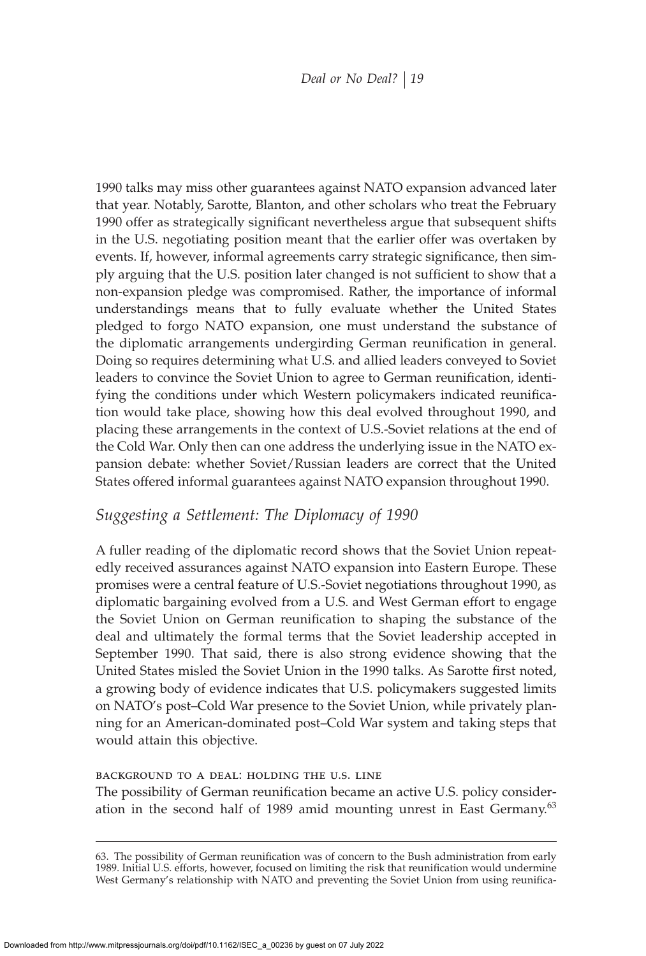1990 talks may miss other guarantees against NATO expansion advanced later that year. Notably, Sarotte, Blanton, and other scholars who treat the February 1990 offer as strategically significant nevertheless argue that subsequent shifts in the U.S. negotiating position meant that the earlier offer was overtaken by events. If, however, informal agreements carry strategic significance, then simply arguing that the U.S. position later changed is not sufficient to show that a non-expansion pledge was compromised. Rather, the importance of informal understandings means that to fully evaluate whether the United States pledged to forgo NATO expansion, one must understand the substance of the diplomatic arrangements undergirding German reunification in general. Doing so requires determining what U.S. and allied leaders conveyed to Soviet leaders to convince the Soviet Union to agree to German reunification, identifying the conditions under which Western policymakers indicated reunification would take place, showing how this deal evolved throughout 1990, and placing these arrangements in the context of U.S.-Soviet relations at the end of the Cold War. Only then can one address the underlying issue in the NATO expansion debate: whether Soviet/Russian leaders are correct that the United States offered informal guarantees against NATO expansion throughout 1990.

# *Suggesting a Settlement: The Diplomacy of 1990*

A fuller reading of the diplomatic record shows that the Soviet Union repeatedly received assurances against NATO expansion into Eastern Europe. These promises were a central feature of U.S.-Soviet negotiations throughout 1990, as diplomatic bargaining evolved from a U.S. and West German effort to engage the Soviet Union on German reunification to shaping the substance of the deal and ultimately the formal terms that the Soviet leadership accepted in September 1990. That said, there is also strong evidence showing that the United States misled the Soviet Union in the 1990 talks. As Sarotte first noted, a growing body of evidence indicates that U.S. policymakers suggested limits on NATO's post–Cold War presence to the Soviet Union, while privately planning for an American-dominated post–Cold War system and taking steps that would attain this objective.

## background to a deal: holding the u.s. line

The possibility of German reunification became an active U.S. policy consideration in the second half of 1989 amid mounting unrest in East Germany. $63$ 

<sup>63.</sup> The possibility of German reunification was of concern to the Bush administration from early 1989. Initial U.S. efforts, however, focused on limiting the risk that reunification would undermine West Germany's relationship with NATO and preventing the Soviet Union from using reunifica-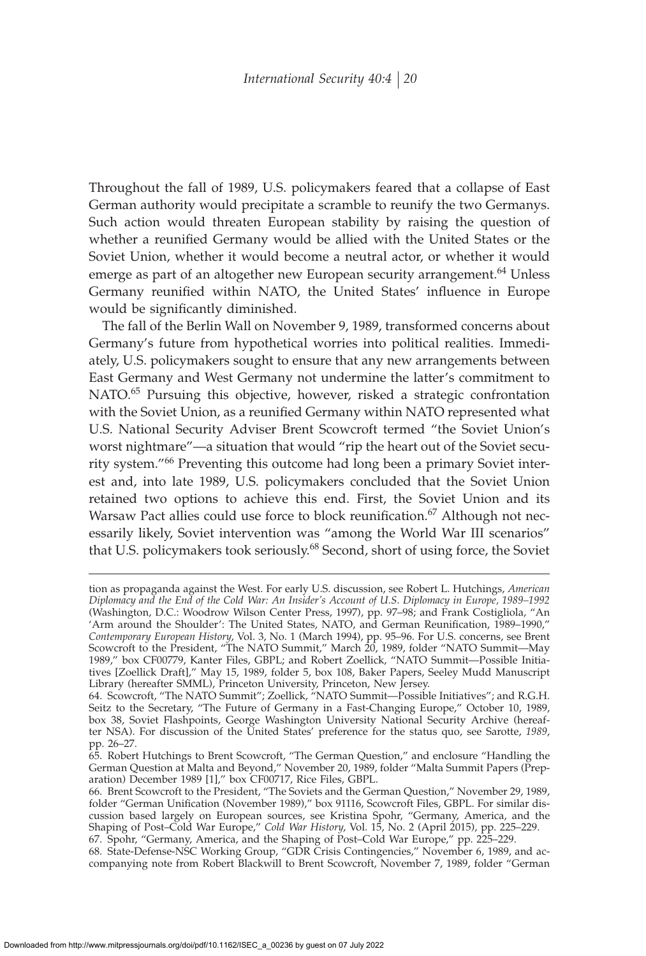Throughout the fall of 1989, U.S. policymakers feared that a collapse of East German authority would precipitate a scramble to reunify the two Germanys. Such action would threaten European stability by raising the question of whether a reunified Germany would be allied with the United States or the Soviet Union, whether it would become a neutral actor, or whether it would emerge as part of an altogether new European security arrangement.<sup>64</sup> Unless Germany reunified within NATO, the United States' influence in Europe would be significantly diminished.

The fall of the Berlin Wall on November 9, 1989, transformed concerns about Germany's future from hypothetical worries into political realities. Immediately, U.S. policymakers sought to ensure that any new arrangements between East Germany and West Germany not undermine the latter's commitment to NATO.<sup>65</sup> Pursuing this objective, however, risked a strategic confrontation with the Soviet Union, as a reunified Germany within NATO represented what U.S. National Security Adviser Brent Scowcroft termed "the Soviet Union's worst nightmare"—a situation that would "rip the heart out of the Soviet security system."<sup>66</sup> Preventing this outcome had long been a primary Soviet interest and, into late 1989, U.S. policymakers concluded that the Soviet Union retained two options to achieve this end. First, the Soviet Union and its Warsaw Pact allies could use force to block reunification.<sup>67</sup> Although not necessarily likely, Soviet intervention was "among the World War III scenarios" that U.S. policymakers took seriously.<sup>68</sup> Second, short of using force, the Soviet

tion as propaganda against the West. For early U.S. discussion, see Robert L. Hutchings, *American Diplomacy and the End of the Cold War: An Insider's Account of U.S. Diplomacy in Europe, 1989–1992* (Washington, D.C.: Woodrow Wilson Center Press, 1997), pp. 97–98; and Frank Costigliola, "An 'Arm around the Shoulder': The United States, NATO, and German Reunification, 1989–1990," *Contemporary European History*, Vol. 3, No. 1 (March 1994), pp. 95–96. For U.S. concerns, see Brent Scowcroft to the President, "The NATO Summit," March 20, 1989, folder "NATO Summit—May 1989," box CF00779, Kanter Files, GBPL; and Robert Zoellick, "NATO Summit—Possible Initiatives [Zoellick Draft]," May 15, 1989, folder 5, box 108, Baker Papers, Seeley Mudd Manuscript Library (hereafter SMML), Princeton University, Princeton, New Jersey.

<sup>64.</sup> Scowcroft, "The NATO Summit"; Zoellick, "NATO Summit—Possible Initiatives"; and R.G.H. Seitz to the Secretary, "The Future of Germany in a Fast-Changing Europe," October 10, 1989, box 38, Soviet Flashpoints, George Washington University National Security Archive (hereafter NSA). For discussion of the United States' preference for the status quo, see Sarotte, *1989*, pp. 26–27.

<sup>65.</sup> Robert Hutchings to Brent Scowcroft, "The German Question," and enclosure "Handling the German Question at Malta and Beyond," November 20, 1989, folder "Malta Summit Papers (Preparation) December 1989 [1]," box CF00717, Rice Files, GBPL.

<sup>66.</sup> Brent Scowcroft to the President, "The Soviets and the German Question," November 29, 1989, folder "German Unification (November 1989)," box 91116, Scowcroft Files, GBPL. For similar discussion based largely on European sources, see Kristina Spohr, "Germany, America, and the Shaping of Post–Cold War Europe," *Cold War History*, Vol. 15, No. 2 (April 2015), pp. 225–229. 67. Spohr, "Germany, America, and the Shaping of Post–Cold War Europe," pp. 225–229.

<sup>68.</sup> State-Defense-NSC Working Group, "GDR Crisis Contingencies," November 6, 1989, and accompanying note from Robert Blackwill to Brent Scowcroft, November 7, 1989, folder "German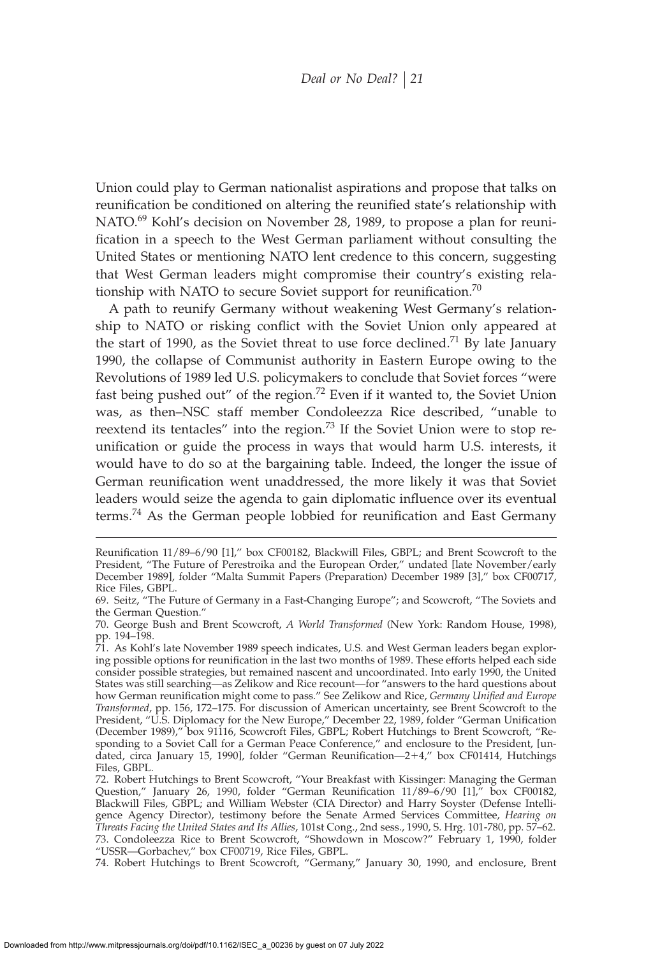Union could play to German nationalist aspirations and propose that talks on reunification be conditioned on altering the reunified state's relationship with NATO.<sup>69</sup> Kohl's decision on November 28, 1989, to propose a plan for reunification in a speech to the West German parliament without consulting the United States or mentioning NATO lent credence to this concern, suggesting that West German leaders might compromise their country's existing relationship with NATO to secure Soviet support for reunification.<sup>70</sup>

A path to reunify Germany without weakening West Germany's relationship to NATO or risking conflict with the Soviet Union only appeared at the start of 1990, as the Soviet threat to use force declined.<sup>71</sup> By late January 1990, the collapse of Communist authority in Eastern Europe owing to the Revolutions of 1989 led U.S. policymakers to conclude that Soviet forces "were fast being pushed out" of the region.<sup>72</sup> Even if it wanted to, the Soviet Union was, as then–NSC staff member Condoleezza Rice described, "unable to reextend its tentacles" into the region.<sup>73</sup> If the Soviet Union were to stop reunification or guide the process in ways that would harm U.S. interests, it would have to do so at the bargaining table. Indeed, the longer the issue of German reunification went unaddressed, the more likely it was that Soviet leaders would seize the agenda to gain diplomatic influence over its eventual terms.<sup>74</sup> As the German people lobbied for reunification and East Germany

Reunification 11/89–6/90 [1]," box CF00182, Blackwill Files, GBPL; and Brent Scowcroft to the President, "The Future of Perestroika and the European Order," undated [late November/early December 1989], folder "Malta Summit Papers (Preparation) December 1989 [3]," box CF00717, Rice Files, GBPL.

<sup>69.</sup> Seitz, "The Future of Germany in a Fast-Changing Europe"; and Scowcroft, "The Soviets and the German Question."

<sup>70.</sup> George Bush and Brent Scowcroft, *A World Transformed* (New York: Random House, 1998), pp. 194–198.

<sup>71.</sup> As Kohl's late November 1989 speech indicates, U.S. and West German leaders began exploring possible options for reunification in the last two months of 1989. These efforts helped each side consider possible strategies, but remained nascent and uncoordinated. Into early 1990, the United States was still searching—as Zelikow and Rice recount—for "answers to the hard questions about how German reunification might come to pass." See Zelikow and Rice, *Germany Unified and Europe Transformed*, pp. 156, 172–175. For discussion of American uncertainty, see Brent Scowcroft to the President, "U.S. Diplomacy for the New Europe," December 22, 1989, folder "German Unification (December 1989)," box 91116, Scowcroft Files, GBPL; Robert Hutchings to Brent Scowcroft, "Responding to a Soviet Call for a German Peace Conference," and enclosure to the President, [undated, circa January 15, 1990], folder "German Reunification—2+4," box CF01414, Hutchings Files, GBPL.

<sup>72.</sup> Robert Hutchings to Brent Scowcroft, "Your Breakfast with Kissinger: Managing the German Question," January 26, 1990, folder "German Reunification  $11/89-6/90$  [1]," box CF00182, Blackwill Files, GBPL; and William Webster (CIA Director) and Harry Soyster (Defense Intelligence Agency Director), testimony before the Senate Armed Services Committee, *Hearing on Threats Facing the United States and Its Allies*, 101st Cong., 2nd sess., 1990, S. Hrg. 101-780, pp. 57–62. 73. Condoleezza Rice to Brent Scowcroft, "Showdown in Moscow?" February 1, 1990, folder "USSR—Gorbachev," box CF00719, Rice Files, GBPL.

<sup>74.</sup> Robert Hutchings to Brent Scowcroft, "Germany," January 30, 1990, and enclosure, Brent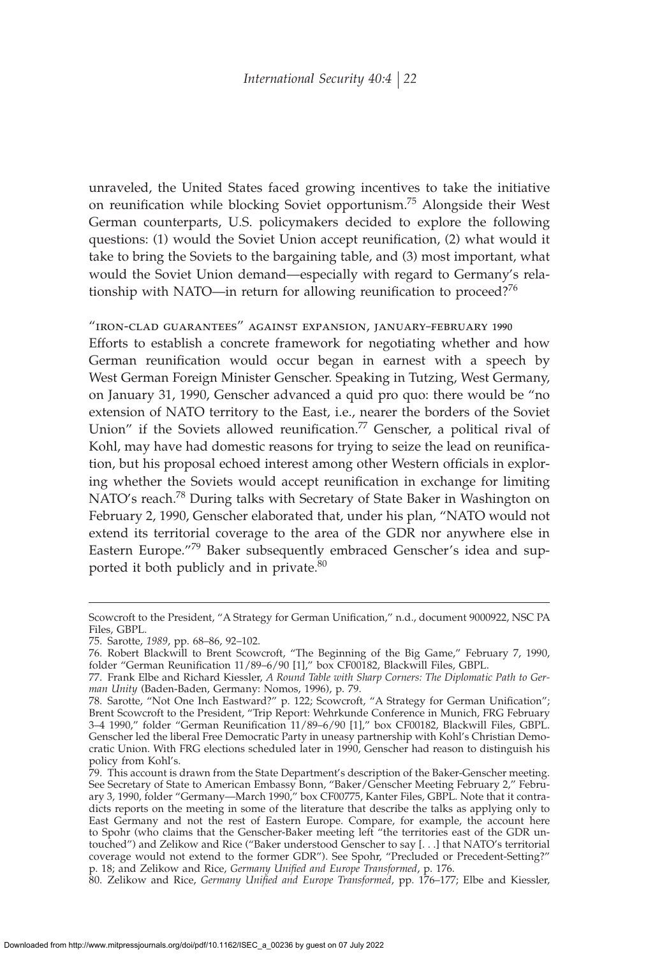unraveled, the United States faced growing incentives to take the initiative on reunification while blocking Soviet opportunism.<sup>75</sup> Alongside their West German counterparts, U.S. policymakers decided to explore the following questions: (1) would the Soviet Union accept reunification, (2) what would it take to bring the Soviets to the bargaining table, and (3) most important, what would the Soviet Union demand—especially with regard to Germany's relationship with NATO—in return for allowing reunification to proceed?<sup>76</sup>

"iron-clad guarantees" against expansion, january–february 1990

Efforts to establish a concrete framework for negotiating whether and how German reunification would occur began in earnest with a speech by West German Foreign Minister Genscher. Speaking in Tutzing, West Germany, on January 31, 1990, Genscher advanced a quid pro quo: there would be "no extension of NATO territory to the East, i.e., nearer the borders of the Soviet Union" if the Soviets allowed reunification.<sup>77</sup> Genscher, a political rival of Kohl, may have had domestic reasons for trying to seize the lead on reunification, but his proposal echoed interest among other Western officials in exploring whether the Soviets would accept reunification in exchange for limiting NATO's reach.<sup>78</sup> During talks with Secretary of State Baker in Washington on February 2, 1990, Genscher elaborated that, under his plan, "NATO would not extend its territorial coverage to the area of the GDR nor anywhere else in Eastern Europe."<sup>79</sup> Baker subsequently embraced Genscher's idea and supported it both publicly and in private.<sup>80</sup>

Scowcroft to the President, "A Strategy for German Unification," n.d., document 9000922, NSC PA Files, GBPL.

<sup>75.</sup> Sarotte, *1989*, pp. 68–86, 92–102.

<sup>76.</sup> Robert Blackwill to Brent Scowcroft, "The Beginning of the Big Game," February 7, 1990, folder "German Reunification 11/89–6/90 [1]," box CF00182, Blackwill Files, GBPL.

<sup>77.</sup> Frank Elbe and Richard Kiessler, *A Round Table with Sharp Corners: The Diplomatic Path to German Unity* (Baden-Baden, Germany: Nomos, 1996), p. 79.

<sup>78.</sup> Sarotte, "Not One Inch Eastward?" p. 122; Scowcroft, "A Strategy for German Unification"; Brent Scowcroft to the President, "Trip Report: Wehrkunde Conference in Munich, FRG February 3–4 1990," folder "German Reunification 11/89–6/90 [1]," box CF00182, Blackwill Files, GBPL. Genscher led the liberal Free Democratic Party in uneasy partnership with Kohl's Christian Democratic Union. With FRG elections scheduled later in 1990, Genscher had reason to distinguish his policy from Kohl's.

<sup>79.</sup> This account is drawn from the State Department's description of the Baker-Genscher meeting. See Secretary of State to American Embassy Bonn, "Baker/Genscher Meeting February 2," February 3, 1990, folder "Germany—March 1990," box CF00775, Kanter Files, GBPL. Note that it contradicts reports on the meeting in some of the literature that describe the talks as applying only to East Germany and not the rest of Eastern Europe. Compare, for example, the account here to Spohr (who claims that the Genscher-Baker meeting left "the territories east of the GDR untouched") and Zelikow and Rice ("Baker understood Genscher to say [. . .] that NATO's territorial coverage would not extend to the former GDR"). See Spohr, "Precluded or Precedent-Setting?" p. 18; and Zelikow and Rice, *Germany Unified and Europe Transformed*, p. 176.

<sup>80.</sup> Zelikow and Rice, Germany Unified and Europe Transformed, pp. 176-177; Elbe and Kiessler,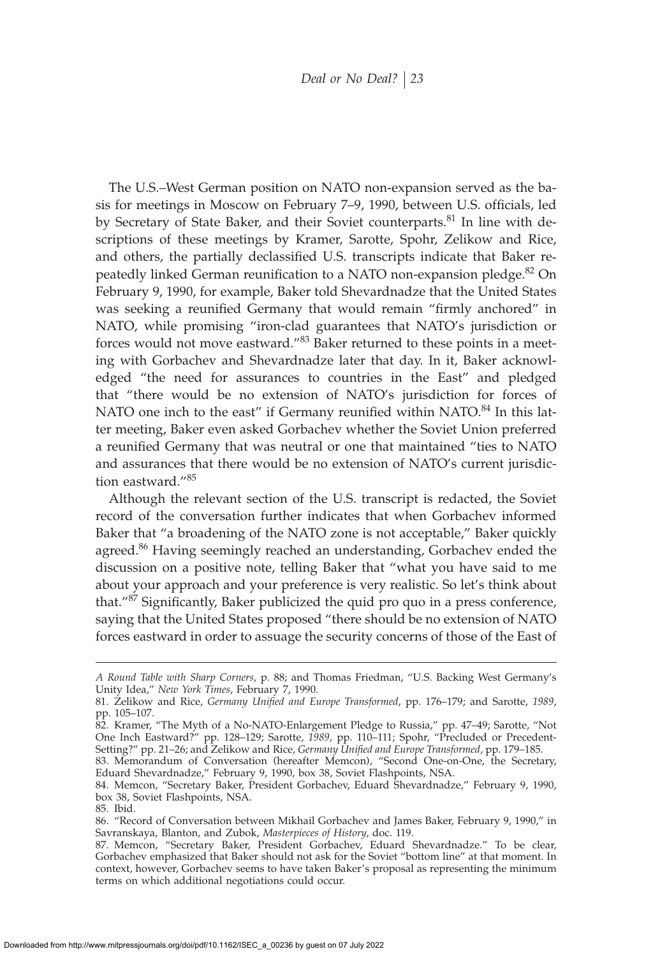The U.S.–West German position on NATO non-expansion served as the basis for meetings in Moscow on February 7–9, 1990, between U.S. officials, led by Secretary of State Baker, and their Soviet counterparts.<sup>81</sup> In line with descriptions of these meetings by Kramer, Sarotte, Spohr, Zelikow and Rice, and others, the partially declassified U.S. transcripts indicate that Baker repeatedly linked German reunification to a NATO non-expansion pledge.<sup>82</sup> On February 9, 1990, for example, Baker told Shevardnadze that the United States was seeking a reunified Germany that would remain "firmly anchored" in NATO, while promising "iron-clad guarantees that NATO's jurisdiction or forces would not move eastward."<sup>83</sup> Baker returned to these points in a meeting with Gorbachev and Shevardnadze later that day. In it, Baker acknowledged "the need for assurances to countries in the East" and pledged that "there would be no extension of NATO's jurisdiction for forces of NATO one inch to the east" if Germany reunified within NATO.<sup>84</sup> In this latter meeting, Baker even asked Gorbachev whether the Soviet Union preferred a reunified Germany that was neutral or one that maintained "ties to NATO and assurances that there would be no extension of NATO's current jurisdiction eastward."85

Although the relevant section of the U.S. transcript is redacted, the Soviet record of the conversation further indicates that when Gorbachev informed Baker that "a broadening of the NATO zone is not acceptable," Baker quickly agreed.<sup>86</sup> Having seemingly reached an understanding, Gorbachev ended the discussion on a positive note, telling Baker that "what you have said to me about your approach and your preference is very realistic. So let's think about that." $87$  Significantly, Baker publicized the quid pro quo in a press conference, saying that the United States proposed "there should be no extension of NATO forces eastward in order to assuage the security concerns of those of the East of

*A Round Table with Sharp Corners*, p. 88; and Thomas Friedman, "U.S. Backing West Germany's Unity Idea," *New York Times*, February 7, 1990.

<sup>81.</sup> Zelikow and Rice, *Germany Unified and Europe Transformed*, pp. 176–179; and Sarotte, 1989, pp. 105–107.

<sup>82.</sup> Kramer, "The Myth of a No-NATO-Enlargement Pledge to Russia," pp. 47–49; Sarotte, "Not One Inch Eastward?" pp. 128–129; Sarotte, *1989*, pp. 110–111; Spohr, "Precluded or Precedent-Setting?" pp. 21–26; and Zelikow and Rice, *Germany Unified and Europe Transformed*, pp. 179–185.

<sup>83.</sup> Memorandum of Conversation (hereafter Memcon), "Second One-on-One, the Secretary, Eduard Shevardnadze," February 9, 1990, box 38, Soviet Flashpoints, NSA.

<sup>84.</sup> Memcon, "Secretary Baker, President Gorbachev, Eduard Shevardnadze," February 9, 1990, box 38, Soviet Flashpoints, NSA.

<sup>85.</sup> Ibid.

<sup>86. &</sup>quot;Record of Conversation between Mikhail Gorbachev and James Baker, February 9, 1990," in Savranskaya, Blanton, and Zubok, *Masterpieces of History*, doc. 119.

<sup>87.</sup> Memcon, "Secretary Baker, President Gorbachev, Eduard Shevardnadze." To be clear, Gorbachev emphasized that Baker should not ask for the Soviet "bottom line" at that moment. In context, however, Gorbachev seems to have taken Baker's proposal as representing the minimum terms on which additional negotiations could occur.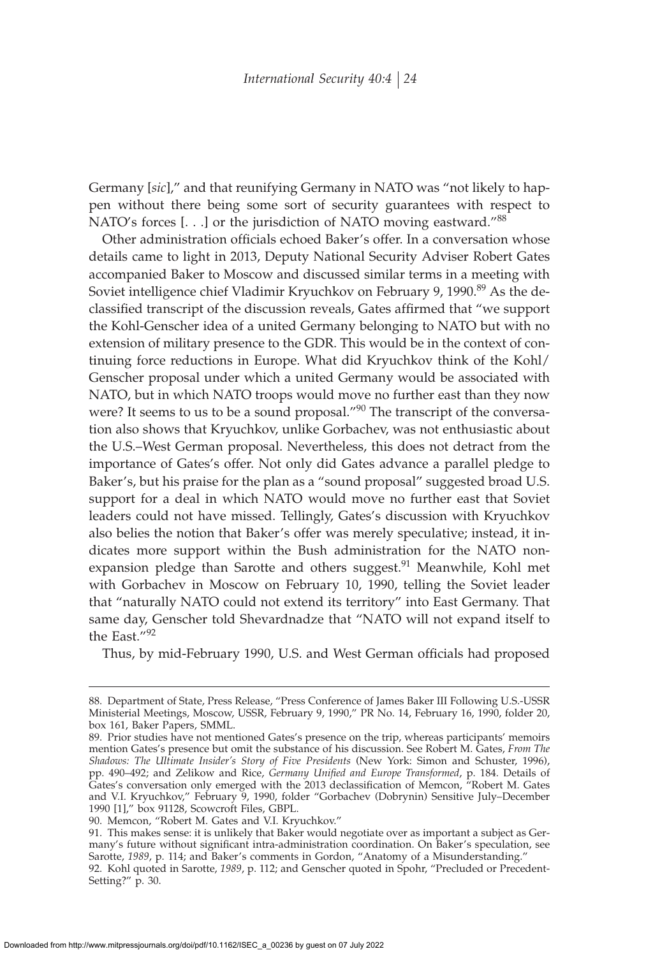Germany [*sic*]," and that reunifying Germany in NATO was "not likely to happen without there being some sort of security guarantees with respect to NATO's forces [...] or the jurisdiction of NATO moving eastward."<sup>88</sup>

Other administration officials echoed Baker's offer. In a conversation whose details came to light in 2013, Deputy National Security Adviser Robert Gates accompanied Baker to Moscow and discussed similar terms in a meeting with Soviet intelligence chief Vladimir Kryuchkov on February 9, 1990.<sup>89</sup> As the declassified transcript of the discussion reveals, Gates affirmed that "we support the Kohl-Genscher idea of a united Germany belonging to NATO but with no extension of military presence to the GDR. This would be in the context of continuing force reductions in Europe. What did Kryuchkov think of the Kohl/ Genscher proposal under which a united Germany would be associated with NATO, but in which NATO troops would move no further east than they now were? It seems to us to be a sound proposal."<sup>90</sup> The transcript of the conversation also shows that Kryuchkov, unlike Gorbachev, was not enthusiastic about the U.S.–West German proposal. Nevertheless, this does not detract from the importance of Gates's offer. Not only did Gates advance a parallel pledge to Baker's, but his praise for the plan as a "sound proposal" suggested broad U.S. support for a deal in which NATO would move no further east that Soviet leaders could not have missed. Tellingly, Gates's discussion with Kryuchkov also belies the notion that Baker's offer was merely speculative; instead, it indicates more support within the Bush administration for the NATO nonexpansion pledge than Sarotte and others suggest.<sup>91</sup> Meanwhile, Kohl met with Gorbachev in Moscow on February 10, 1990, telling the Soviet leader that "naturally NATO could not extend its territory" into East Germany. That same day, Genscher told Shevardnadze that "NATO will not expand itself to the East."<sup>92</sup>

Thus, by mid-February 1990, U.S. and West German officials had proposed

<sup>88.</sup> Department of State, Press Release, "Press Conference of James Baker III Following U.S.-USSR Ministerial Meetings, Moscow, USSR, February 9, 1990," PR No. 14, February 16, 1990, folder 20, box 161, Baker Papers, SMML.

<sup>89.</sup> Prior studies have not mentioned Gates's presence on the trip, whereas participants' memoirs mention Gates's presence but omit the substance of his discussion. See Robert M. Gates, *From The Shadows: The Ultimate Insider's Story of Five Presidents* (New York: Simon and Schuster, 1996), pp. 490–492; and Zelikow and Rice, *Germany Unified and Europe Transformed*, p. 184. Details of Gates's conversation only emerged with the 2013 declassification of Memcon, "Robert M. Gates and V.I. Kryuchkov," February 9, 1990, folder "Gorbachev (Dobrynin) Sensitive July–December 1990 [1]," box 91128, Scowcroft Files, GBPL.

<sup>90.</sup> Memcon, "Robert M. Gates and V.I. Kryuchkov."

<sup>91.</sup> This makes sense: it is unlikely that Baker would negotiate over as important a subject as Germany's future without significant intra-administration coordination. On Baker's speculation, see Sarotte, 1989, p. 114; and Baker's comments in Gordon, "Anatomy of a Misunderstanding."

<sup>92.</sup> Kohl quoted in Sarotte, *1989*, p. 112; and Genscher quoted in Spohr, "Precluded or Precedent-Setting?" p. 30.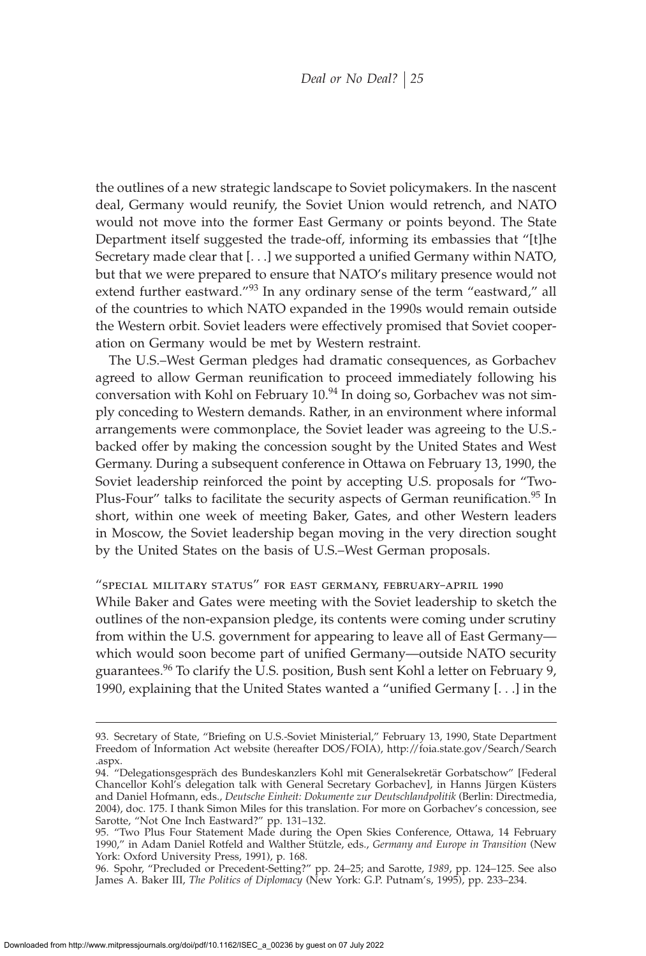the outlines of a new strategic landscape to Soviet policymakers. In the nascent deal, Germany would reunify, the Soviet Union would retrench, and NATO would not move into the former East Germany or points beyond. The State Department itself suggested the trade-off, informing its embassies that "[t]he Secretary made clear that  $[...]$  we supported a unified Germany within NATO, but that we were prepared to ensure that NATO's military presence would not extend further eastward."<sup>93</sup> In any ordinary sense of the term "eastward," all of the countries to which NATO expanded in the 1990s would remain outside the Western orbit. Soviet leaders were effectively promised that Soviet cooperation on Germany would be met by Western restraint.

The U.S.–West German pledges had dramatic consequences, as Gorbachev agreed to allow German reunification to proceed immediately following his conversation with Kohl on February 10.<sup>94</sup> In doing so, Gorbachev was not simply conceding to Western demands. Rather, in an environment where informal arrangements were commonplace, the Soviet leader was agreeing to the U.S. backed offer by making the concession sought by the United States and West Germany. During a subsequent conference in Ottawa on February 13, 1990, the Soviet leadership reinforced the point by accepting U.S. proposals for "Two-Plus-Four" talks to facilitate the security aspects of German reunification.<sup>95</sup> In short, within one week of meeting Baker, Gates, and other Western leaders in Moscow, the Soviet leadership began moving in the very direction sought by the United States on the basis of U.S.–West German proposals.

#### "special military status" for east germany, february–april 1990

While Baker and Gates were meeting with the Soviet leadership to sketch the outlines of the non-expansion pledge, its contents were coming under scrutiny from within the U.S. government for appearing to leave all of East Germany which would soon become part of unified Germany—outside NATO security guarantees.<sup>96</sup> To clarify the U.S. position, Bush sent Kohl a letter on February 9, 1990, explaining that the United States wanted a "unified Germany [...] in the

96. Spohr, "Precluded or Precedent-Setting?" pp. 24–25; and Sarotte, *1989*, pp. 124–125. See also James A. Baker III, *The Politics of Diplomacy* (New York: G.P. Putnam's, 1995), pp. 233–234.

<sup>93.</sup> Secretary of State, "Briefing on U.S.-Soviet Ministerial," February 13, 1990, State Department Freedom of Information Act website (hereafter DOS/FOIA), http://foia.state.gov/Search/Search .aspx.

<sup>94. &</sup>quot;Delegationsgespräch des Bundeskanzlers Kohl mit Generalsekretär Gorbatschow" [Federal Chancellor Kohl's delegation talk with General Secretary Gorbachev], in Hanns Jürgen Küsters and Daniel Hofmann, eds., *Deutsche Einheit: Dokumente zur Deutschlandpolitik* (Berlin: Directmedia, 2004), doc. 175. I thank Simon Miles for this translation. For more on Gorbachev's concession, see Sarotte, "Not One Inch Eastward?" pp. 131–132.

<sup>95. &</sup>quot;Two Plus Four Statement Made during the Open Skies Conference, Ottawa, 14 February 1990," in Adam Daniel Rotfeld and Walther Stützle, eds., *Germany and Europe in Transition* (New York: Oxford University Press, 1991), p. 168.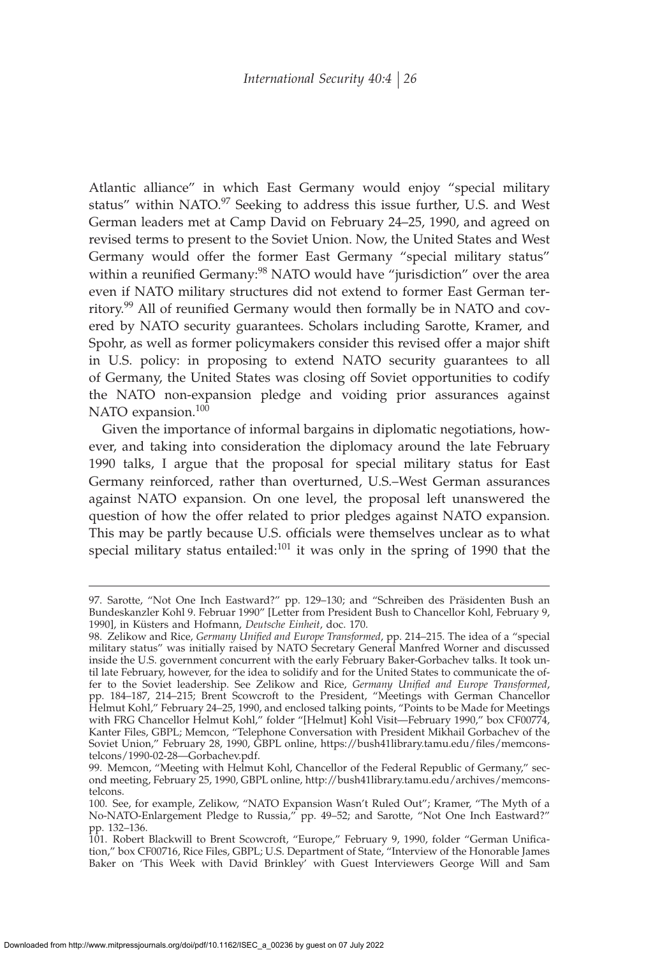Atlantic alliance" in which East Germany would enjoy "special military status" within NATO.<sup>97</sup> Seeking to address this issue further, U.S. and West German leaders met at Camp David on February 24–25, 1990, and agreed on revised terms to present to the Soviet Union. Now, the United States and West Germany would offer the former East Germany "special military status" within a reunified Germany:<sup>98</sup> NATO would have "jurisdiction" over the area even if NATO military structures did not extend to former East German territory.<sup>99</sup> All of reunified Germany would then formally be in NATO and covered by NATO security guarantees. Scholars including Sarotte, Kramer, and Spohr, as well as former policymakers consider this revised offer a major shift in U.S. policy: in proposing to extend NATO security guarantees to all of Germany, the United States was closing off Soviet opportunities to codify the NATO non-expansion pledge and voiding prior assurances against NATO expansion.<sup>100</sup>

Given the importance of informal bargains in diplomatic negotiations, however, and taking into consideration the diplomacy around the late February 1990 talks, I argue that the proposal for special military status for East Germany reinforced, rather than overturned, U.S.–West German assurances against NATO expansion. On one level, the proposal left unanswered the question of how the offer related to prior pledges against NATO expansion. This may be partly because U.S. officials were themselves unclear as to what special military status entailed: $101$  it was only in the spring of 1990 that the

<sup>97.</sup> Sarotte, "Not One Inch Eastward?" pp. 129–130; and "Schreiben des Präsidenten Bush an Bundeskanzler Kohl 9. Februar 1990" [Letter from President Bush to Chancellor Kohl, February 9, 1990], in Küsters and Hofmann, *Deutsche Einheit*, doc. 170.

<sup>98.</sup> Zelikow and Rice*, Germany Unified and Europe Transformed,* pp. 214–215. The idea of a "special military status" was initially raised by NATO Secretary General Manfred Worner and discussed inside the U.S. government concurrent with the early February Baker-Gorbachev talks. It took until late February, however, for the idea to solidify and for the United States to communicate the offer to the Soviet leadership. See Zelikow and Rice, *Germany Unified and Europe Transformed*, pp. 184–187, 214–215; Brent Scowcroft to the President, "Meetings with German Chancellor Helmut Kohl," February 24–25, 1990, and enclosed talking points, "Points to be Made for Meetings with FRG Chancellor Helmut Kohl," folder "[Helmut] Kohl Visit—February 1990," box CF00774, Kanter Files, GBPL; Memcon, "Telephone Conversation with President Mikhail Gorbachev of the Soviet Union," February 28, 1990, GBPL online, https://bush41library.tamu.edu/files/memconstelcons/1990-02-28—Gorbachev.pdf.

<sup>99.</sup> Memcon, "Meeting with Helmut Kohl, Chancellor of the Federal Republic of Germany," second meeting, February 25, 1990, GBPL online, http://bush41library.tamu.edu/archives/memconstelcons.

<sup>100.</sup> See, for example, Zelikow, "NATO Expansion Wasn't Ruled Out"; Kramer, "The Myth of a No-NATO-Enlargement Pledge to Russia," pp. 49–52; and Sarotte, "Not One Inch Eastward?" pp. 132–136.

<sup>101.</sup> Robert Blackwill to Brent Scowcroft, "Europe," February 9, 1990, folder "German Unification," box CF00716, Rice Files, GBPL; U.S. Department of State, "Interview of the Honorable James Baker on 'This Week with David Brinkley' with Guest Interviewers George Will and Sam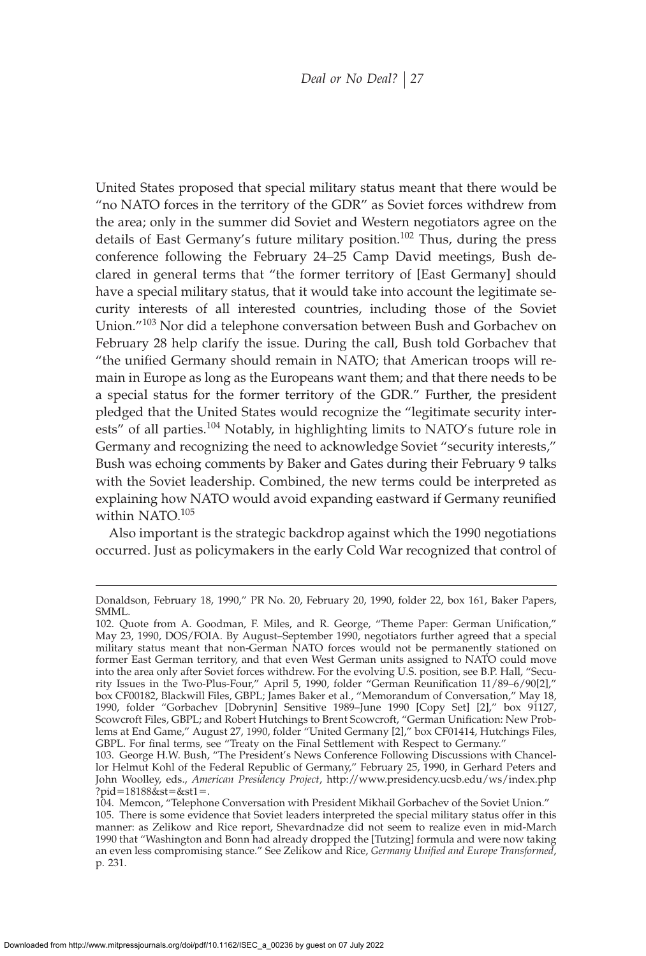United States proposed that special military status meant that there would be "no NATO forces in the territory of the GDR" as Soviet forces withdrew from the area; only in the summer did Soviet and Western negotiators agree on the details of East Germany's future military position.<sup>102</sup> Thus, during the press conference following the February 24–25 Camp David meetings, Bush declared in general terms that "the former territory of [East Germany] should have a special military status, that it would take into account the legitimate security interests of all interested countries, including those of the Soviet Union."<sup>103</sup> Nor did a telephone conversation between Bush and Gorbachev on February 28 help clarify the issue. During the call, Bush told Gorbachev that "the unified Germany should remain in NATO; that American troops will remain in Europe as long as the Europeans want them; and that there needs to be a special status for the former territory of the GDR." Further, the president pledged that the United States would recognize the "legitimate security interests" of all parties.<sup>104</sup> Notably, in highlighting limits to NATO's future role in Germany and recognizing the need to acknowledge Soviet "security interests," Bush was echoing comments by Baker and Gates during their February 9 talks with the Soviet leadership. Combined, the new terms could be interpreted as explaining how NATO would avoid expanding eastward if Germany reunified within NATO.<sup>105</sup>

Also important is the strategic backdrop against which the 1990 negotiations occurred. Just as policymakers in the early Cold War recognized that control of

Donaldson, February 18, 1990," PR No. 20, February 20, 1990, folder 22, box 161, Baker Papers, SMML.

<sup>102.</sup> Quote from A. Goodman, F. Miles, and R. George, "Theme Paper: German Unification," May 23, 1990, DOS/FOIA. By August–September 1990, negotiators further agreed that a special military status meant that non-German NATO forces would not be permanently stationed on former East German territory, and that even West German units assigned to NATO could move into the area only after Soviet forces withdrew. For the evolving U.S. position, see B.P. Hall, "Security Issues in the Two-Plus-Four," April 5, 1990, folder "German Reunification 11/89-6/90[2]," box CF00182, Blackwill Files, GBPL; James Baker et al., "Memorandum of Conversation," May 18, 1990, folder "Gorbachev [Dobrynin] Sensitive 1989–June 1990 [Copy Set] [2]," box 91127, Scowcroft Files, GBPL; and Robert Hutchings to Brent Scowcroft, "German Unification: New Problems at End Game," August 27, 1990, folder "United Germany [2]," box CF01414, Hutchings Files, GBPL. For final terms, see "Treaty on the Final Settlement with Respect to Germany."

<sup>103.</sup> George H.W. Bush, "The President's News Conference Following Discussions with Chancellor Helmut Kohl of the Federal Republic of Germany," February 25, 1990, in Gerhard Peters and John Woolley, eds., *American Presidency Project*, http://www.presidency.ucsb.edu/ws/index.php ?pid=18188&st=&st1=.

<sup>104.</sup> Memcon, "Telephone Conversation with President Mikhail Gorbachev of the Soviet Union." 105. There is some evidence that Soviet leaders interpreted the special military status offer in this manner: as Zelikow and Rice report, Shevardnadze did not seem to realize even in mid-March 1990 that "Washington and Bonn had already dropped the [Tutzing] formula and were now taking an even less compromising stance." See Zelikow and Rice, *Germany Unified and Europe Transformed*, p. 231.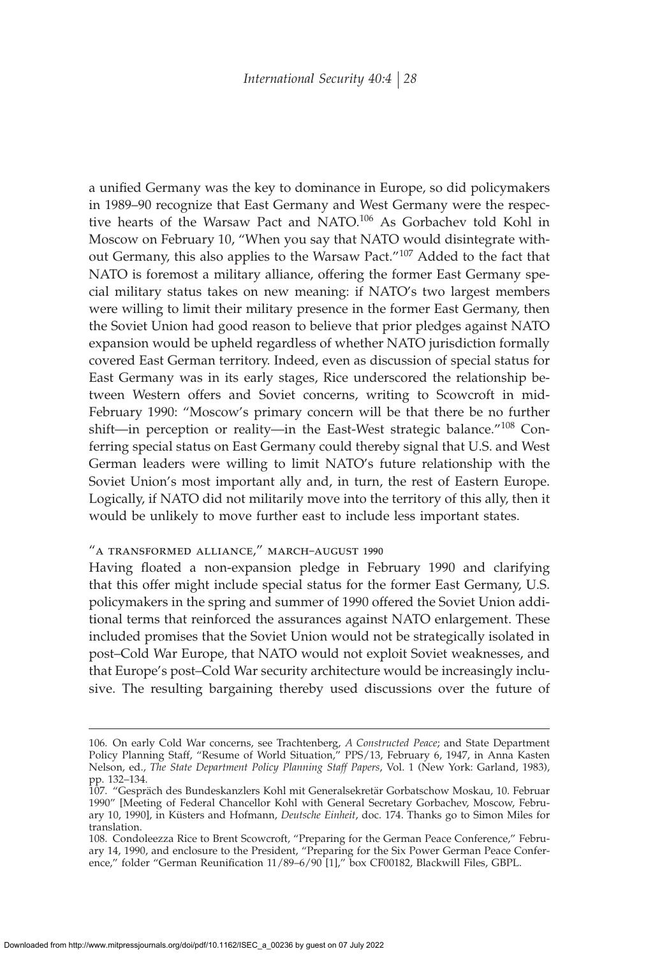a unified Germany was the key to dominance in Europe, so did policymakers in 1989–90 recognize that East Germany and West Germany were the respective hearts of the Warsaw Pact and NATO.<sup>106</sup> As Gorbachev told Kohl in Moscow on February 10, "When you say that NATO would disintegrate without Germany, this also applies to the Warsaw Pact."<sup>107</sup> Added to the fact that NATO is foremost a military alliance, offering the former East Germany special military status takes on new meaning: if NATO's two largest members were willing to limit their military presence in the former East Germany, then the Soviet Union had good reason to believe that prior pledges against NATO expansion would be upheld regardless of whether NATO jurisdiction formally covered East German territory. Indeed, even as discussion of special status for East Germany was in its early stages, Rice underscored the relationship between Western offers and Soviet concerns, writing to Scowcroft in mid-February 1990: "Moscow's primary concern will be that there be no further shift—in perception or reality—in the East-West strategic balance."<sup>108</sup> Conferring special status on East Germany could thereby signal that U.S. and West German leaders were willing to limit NATO's future relationship with the Soviet Union's most important ally and, in turn, the rest of Eastern Europe. Logically, if NATO did not militarily move into the territory of this ally, then it would be unlikely to move further east to include less important states.

### "a transformed alliance," march–august 1990

Having floated a non-expansion pledge in February 1990 and clarifying that this offer might include special status for the former East Germany, U.S. policymakers in the spring and summer of 1990 offered the Soviet Union additional terms that reinforced the assurances against NATO enlargement. These included promises that the Soviet Union would not be strategically isolated in post–Cold War Europe, that NATO would not exploit Soviet weaknesses, and that Europe's post–Cold War security architecture would be increasingly inclusive. The resulting bargaining thereby used discussions over the future of

<sup>106.</sup> On early Cold War concerns, see Trachtenberg, *A Constructed Peace*; and State Department Policy Planning Staff, "Resume of World Situation," PPS/13, February 6, 1947, in Anna Kasten Nelson, ed., *The State Department Policy Planning Staff Papers*, Vol. 1 (New York: Garland, 1983), pp. 132–134.

<sup>107. &</sup>quot;Gespräch des Bundeskanzlers Kohl mit Generalsekretär Gorbatschow Moskau, 10. Februar 1990" [Meeting of Federal Chancellor Kohl with General Secretary Gorbachev, Moscow, February 10, 1990], in Küsters and Hofmann, *Deutsche Einheit*, doc. 174. Thanks go to Simon Miles for translation.

<sup>108.</sup> Condoleezza Rice to Brent Scowcroft, "Preparing for the German Peace Conference," February 14, 1990, and enclosure to the President, "Preparing for the Six Power German Peace Conference," folder "German Reunification 11/89-6/90 [1]," box CF00182, Blackwill Files, GBPL.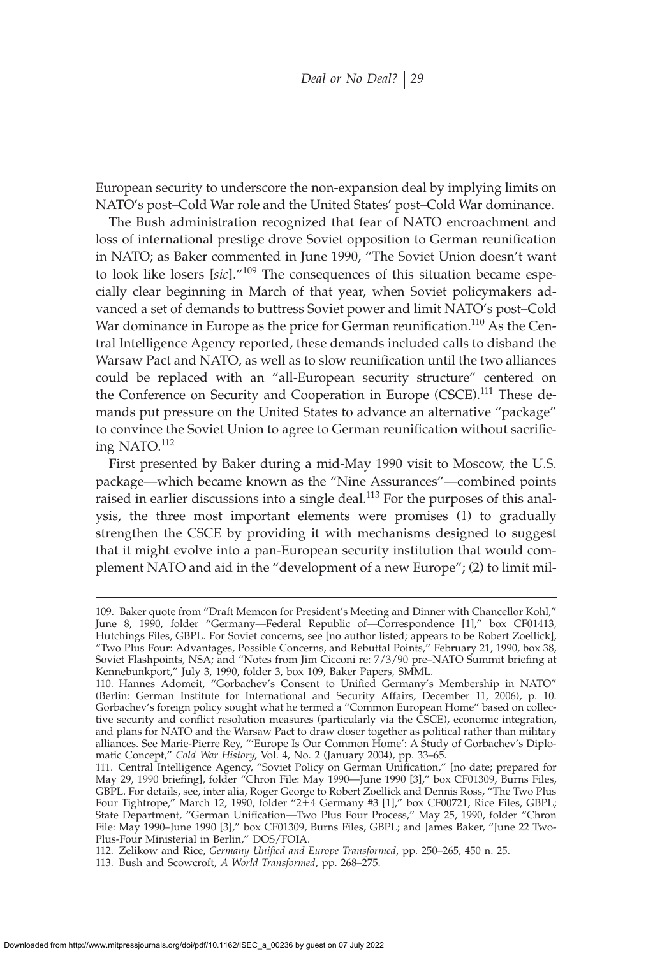European security to underscore the non-expansion deal by implying limits on NATO's post–Cold War role and the United States' post–Cold War dominance.

The Bush administration recognized that fear of NATO encroachment and loss of international prestige drove Soviet opposition to German reunification in NATO; as Baker commented in June 1990, "The Soviet Union doesn't want to look like losers [*sic*]."<sup>109</sup> The consequences of this situation became especially clear beginning in March of that year, when Soviet policymakers advanced a set of demands to buttress Soviet power and limit NATO's post–Cold War dominance in Europe as the price for German reunification.<sup>110</sup> As the Central Intelligence Agency reported, these demands included calls to disband the Warsaw Pact and NATO, as well as to slow reunification until the two alliances could be replaced with an "all-European security structure" centered on the Conference on Security and Cooperation in Europe (CSCE).<sup>111</sup> These demands put pressure on the United States to advance an alternative "package" to convince the Soviet Union to agree to German reunification without sacrificing NATO.<sup>112</sup>

First presented by Baker during a mid-May 1990 visit to Moscow, the U.S. package—which became known as the "Nine Assurances"—combined points raised in earlier discussions into a single deal.<sup>113</sup> For the purposes of this analysis, the three most important elements were promises (1) to gradually strengthen the CSCE by providing it with mechanisms designed to suggest that it might evolve into a pan-European security institution that would complement NATO and aid in the "development of a new Europe"; (2) to limit mil-

<sup>109.</sup> Baker quote from "Draft Memcon for President's Meeting and Dinner with Chancellor Kohl," June 8, 1990, folder "Germany—Federal Republic of—Correspondence [1]," box CF01413, Hutchings Files, GBPL. For Soviet concerns, see [no author listed; appears to be Robert Zoellick], "Two Plus Four: Advantages, Possible Concerns, and Rebuttal Points," February 21, 1990, box 38, Soviet Flashpoints, NSA; and "Notes from Jim Cicconi re: 7/3/90 pre-NATO Summit briefing at Kennebunkport," July 3, 1990, folder 3, box 109, Baker Papers, SMML.

<sup>110.</sup> Hannes Adomeit, "Gorbachev's Consent to Unified Germany's Membership in NATO" (Berlin: German Institute for International and Security Affairs, December 11, 2006), p. 10. Gorbachev's foreign policy sought what he termed a "Common European Home" based on collective security and conflict resolution measures (particularly via the CSCE), economic integration, and plans for NATO and the Warsaw Pact to draw closer together as political rather than military alliances. See Marie-Pierre Rey, "'Europe Is Our Common Home': A Study of Gorbachev's Diplomatic Concept," *Cold War History*, Vol. 4, No. 2 (January 2004), pp. 33–65.

<sup>111.</sup> Central Intelligence Agency, "Soviet Policy on German Unification," [no date; prepared for May 29, 1990 briefing], folder "Chron File: May 1990—June 1990 [3]," box CF01309, Burns Files, GBPL. For details, see, inter alia, Roger George to Robert Zoellick and Dennis Ross, "The Two Plus Four Tightrope," March 12, 1990, folder "2-4 Germany #3 [1]," box CF00721, Rice Files, GBPL; State Department, "German Unification—Two Plus Four Process," May 25, 1990, folder "Chron File: May 1990–June 1990 [3]," box CF01309, Burns Files, GBPL; and James Baker, "June 22 Two-Plus-Four Ministerial in Berlin," DOS/FOIA.

<sup>112.</sup> Zelikow and Rice, *Germany Unified and Europe Transformed*, pp. 250-265, 450 n. 25.

<sup>113.</sup> Bush and Scowcroft, *A World Transformed*, pp. 268–275.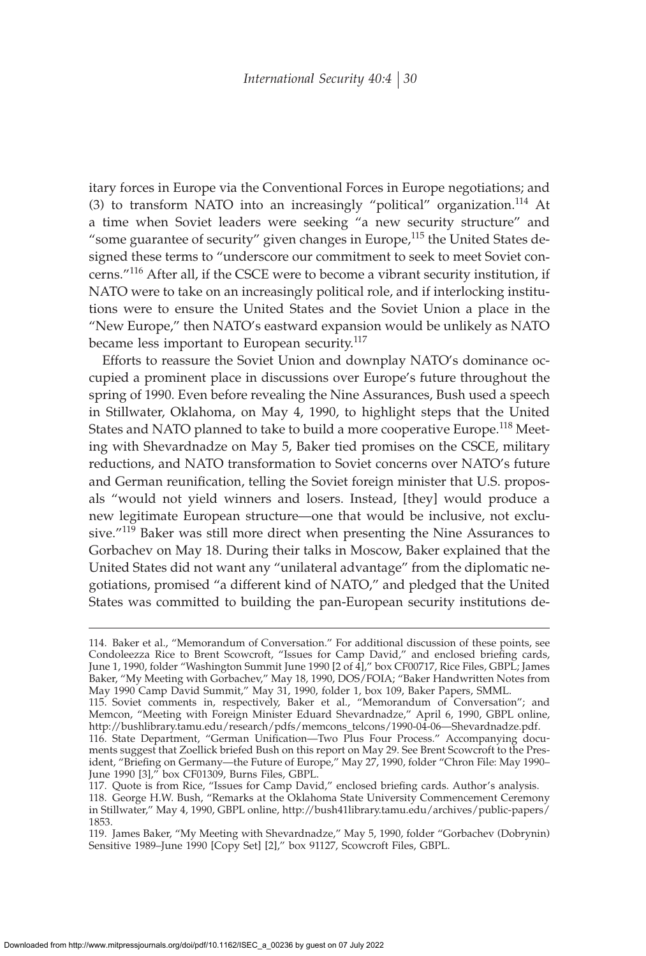itary forces in Europe via the Conventional Forces in Europe negotiations; and (3) to transform NATO into an increasingly "political" organization.<sup>114</sup> At a time when Soviet leaders were seeking "a new security structure" and "some guarantee of security" given changes in Europe,<sup>115</sup> the United States designed these terms to "underscore our commitment to seek to meet Soviet concerns."<sup>116</sup> After all, if the CSCE were to become a vibrant security institution, if NATO were to take on an increasingly political role, and if interlocking institutions were to ensure the United States and the Soviet Union a place in the "New Europe," then NATO's eastward expansion would be unlikely as NATO became less important to European security.<sup>117</sup>

Efforts to reassure the Soviet Union and downplay NATO's dominance occupied a prominent place in discussions over Europe's future throughout the spring of 1990. Even before revealing the Nine Assurances, Bush used a speech in Stillwater, Oklahoma, on May 4, 1990, to highlight steps that the United States and NATO planned to take to build a more cooperative Europe.<sup>118</sup> Meeting with Shevardnadze on May 5, Baker tied promises on the CSCE, military reductions, and NATO transformation to Soviet concerns over NATO's future and German reunification, telling the Soviet foreign minister that U.S. proposals "would not yield winners and losers. Instead, [they] would produce a new legitimate European structure—one that would be inclusive, not exclusive."<sup>119</sup> Baker was still more direct when presenting the Nine Assurances to Gorbachev on May 18. During their talks in Moscow, Baker explained that the United States did not want any "unilateral advantage" from the diplomatic negotiations, promised "a different kind of NATO," and pledged that the United States was committed to building the pan-European security institutions de-

119. James Baker, "My Meeting with Shevardnadze," May 5, 1990, folder "Gorbachev (Dobrynin) Sensitive 1989–June 1990 [Copy Set] [2]," box 91127, Scowcroft Files, GBPL.

<sup>114.</sup> Baker et al., "Memorandum of Conversation." For additional discussion of these points, see Condoleezza Rice to Brent Scowcroft, "Issues for Camp David," and enclosed briefing cards, June 1, 1990, folder "Washington Summit June 1990 [2 of 4]," box CF00717, Rice Files, GBPL; James Baker, "My Meeting with Gorbachev," May 18, 1990, DOS/FOIA; "Baker Handwritten Notes from May 1990 Camp David Summit," May 31, 1990, folder 1, box 109, Baker Papers, SMML.

<sup>115.</sup> Soviet comments in, respectively, Baker et al., "Memorandum of Conversation"; and Memcon, "Meeting with Foreign Minister Eduard Shevardnadze," April 6, 1990, GBPL online, http://bushlibrary.tamu.edu/research/pdfs/memcons\_telcons/1990-04-06—Shevardnadze.pdf.

<sup>116.</sup> State Department, "German Unification—Two Plus Four Process." Accompanying documents suggest that Zoellick briefed Bush on this report on May 29. See Brent Scowcroft to the President, "Briefing on Germany—the Future of Europe," May 27, 1990, folder "Chron File: May 1990– June 1990 [3]," box CF01309, Burns Files, GBPL.

<sup>117.</sup> Quote is from Rice, "Issues for Camp David," enclosed briefing cards. Author's analysis. 118. George H.W. Bush, "Remarks at the Oklahoma State University Commencement Ceremony in Stillwater," May 4, 1990, GBPL online, http://bush41library.tamu.edu/archives/public-papers/ 1853.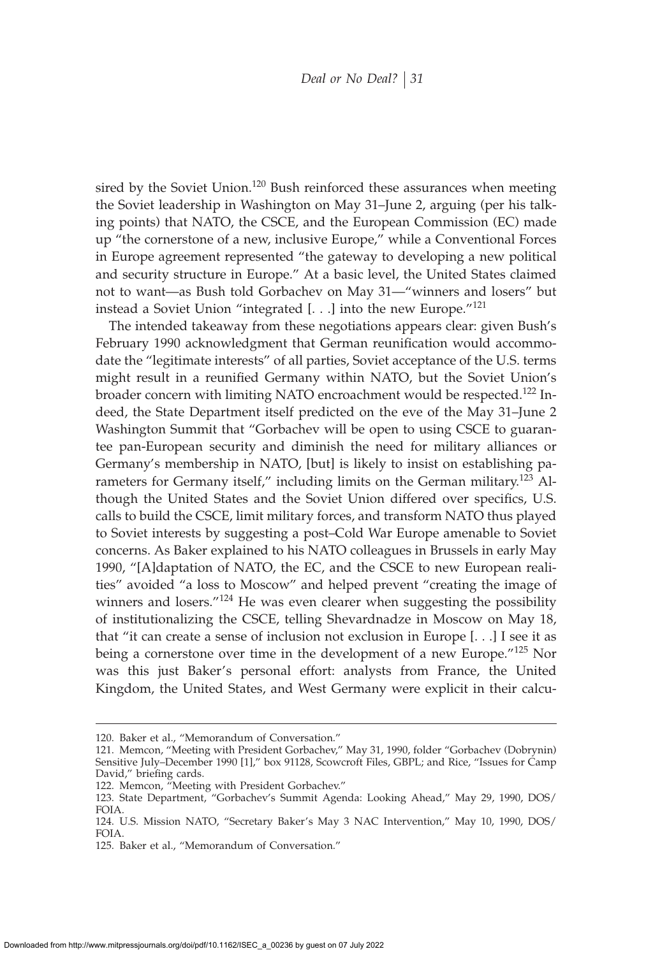sired by the Soviet Union.<sup>120</sup> Bush reinforced these assurances when meeting the Soviet leadership in Washington on May 31–June 2, arguing (per his talking points) that NATO, the CSCE, and the European Commission (EC) made up "the cornerstone of a new, inclusive Europe," while a Conventional Forces in Europe agreement represented "the gateway to developing a new political and security structure in Europe." At a basic level, the United States claimed not to want—as Bush told Gorbachev on May 31—"winners and losers" but instead a Soviet Union "integrated [. . .] into the new Europe."<sup>121</sup>

The intended takeaway from these negotiations appears clear: given Bush's February 1990 acknowledgment that German reunification would accommodate the "legitimate interests" of all parties, Soviet acceptance of the U.S. terms might result in a reunified Germany within NATO, but the Soviet Union's broader concern with limiting NATO encroachment would be respected.<sup>122</sup> Indeed, the State Department itself predicted on the eve of the May 31–June 2 Washington Summit that "Gorbachev will be open to using CSCE to guarantee pan-European security and diminish the need for military alliances or Germany's membership in NATO, [but] is likely to insist on establishing parameters for Germany itself," including limits on the German military.<sup>123</sup> Although the United States and the Soviet Union differed over specifics, U.S. calls to build the CSCE, limit military forces, and transform NATO thus played to Soviet interests by suggesting a post–Cold War Europe amenable to Soviet concerns. As Baker explained to his NATO colleagues in Brussels in early May 1990, "[A]daptation of NATO, the EC, and the CSCE to new European realities" avoided "a loss to Moscow" and helped prevent "creating the image of winners and losers." $124$  He was even clearer when suggesting the possibility of institutionalizing the CSCE, telling Shevardnadze in Moscow on May 18, that "it can create a sense of inclusion not exclusion in Europe [. . .] I see it as being a cornerstone over time in the development of a new Europe."<sup>125</sup> Nor was this just Baker's personal effort: analysts from France, the United Kingdom, the United States, and West Germany were explicit in their calcu-

<sup>120.</sup> Baker et al., "Memorandum of Conversation."

<sup>121.</sup> Memcon, "Meeting with President Gorbachev," May 31, 1990, folder "Gorbachev (Dobrynin) Sensitive July–December 1990 [1]," box 91128, Scowcroft Files, GBPL; and Rice, "Issues for Camp David," briefing cards.

<sup>122.</sup> Memcon, "Meeting with President Gorbachev."

<sup>123.</sup> State Department, "Gorbachev's Summit Agenda: Looking Ahead," May 29, 1990, DOS/ FOIA.

<sup>124.</sup> U.S. Mission NATO, "Secretary Baker's May 3 NAC Intervention," May 10, 1990, DOS/ FOIA.

<sup>125.</sup> Baker et al., "Memorandum of Conversation."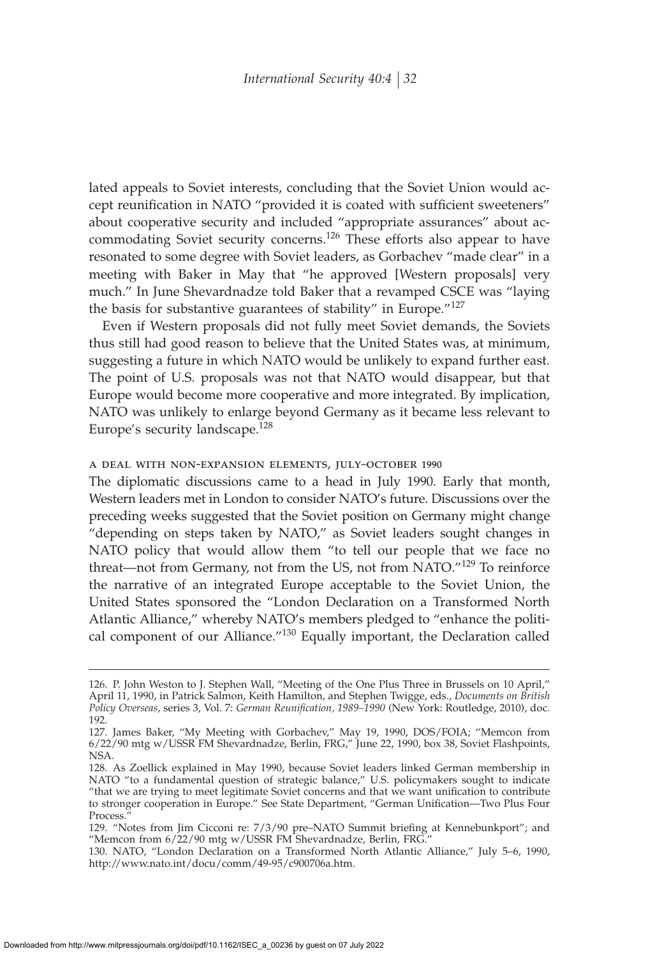lated appeals to Soviet interests, concluding that the Soviet Union would accept reunification in NATO "provided it is coated with sufficient sweeteners" about cooperative security and included "appropriate assurances" about accommodating Soviet security concerns.<sup>126</sup> These efforts also appear to have resonated to some degree with Soviet leaders, as Gorbachev "made clear" in a meeting with Baker in May that "he approved [Western proposals] very much." In June Shevardnadze told Baker that a revamped CSCE was "laying the basis for substantive guarantees of stability" in Europe."<sup>127</sup>

Even if Western proposals did not fully meet Soviet demands, the Soviets thus still had good reason to believe that the United States was, at minimum, suggesting a future in which NATO would be unlikely to expand further east. The point of U.S. proposals was not that NATO would disappear, but that Europe would become more cooperative and more integrated. By implication, NATO was unlikely to enlarge beyond Germany as it became less relevant to Europe's security landscape.<sup>128</sup>

#### a deal with non-expansion elements, july–october 1990

The diplomatic discussions came to a head in July 1990. Early that month, Western leaders met in London to consider NATO's future. Discussions over the preceding weeks suggested that the Soviet position on Germany might change "depending on steps taken by NATO," as Soviet leaders sought changes in NATO policy that would allow them "to tell our people that we face no threat—not from Germany, not from the US, not from NATO. $129$  To reinforce the narrative of an integrated Europe acceptable to the Soviet Union, the United States sponsored the "London Declaration on a Transformed North Atlantic Alliance," whereby NATO's members pledged to "enhance the political component of our Alliance."<sup>130</sup> Equally important, the Declaration called

<sup>126.</sup> P. John Weston to J. Stephen Wall, "Meeting of the One Plus Three in Brussels on 10 April," April 11, 1990, in Patrick Salmon, Keith Hamilton, and Stephen Twigge, eds., *Documents on British* Policy Overseas, series 3, Vol. 7: *German Reunification*, 1989-1990 (New York: Routledge, 2010), doc. 192.

<sup>127.</sup> James Baker, "My Meeting with Gorbachev," May 19, 1990, DOS/FOIA; "Memcon from 6/22/90 mtg w/USSR FM Shevardnadze, Berlin, FRG," June 22, 1990, box 38, Soviet Flashpoints, NSA.

<sup>128.</sup> As Zoellick explained in May 1990, because Soviet leaders linked German membership in NATO "to a fundamental question of strategic balance," U.S. policymakers sought to indicate "that we are trying to meet legitimate Soviet concerns and that we want unification to contribute to stronger cooperation in Europe." See State Department, "German Unification—Two Plus Four Process.

<sup>129. &</sup>quot;Notes from Jim Cicconi re: 7/3/90 pre-NATO Summit briefing at Kennebunkport"; and "Memcon from 6/22/90 mtg w/USSR FM Shevardnadze, Berlin, FRG."

<sup>130.</sup> NATO, "London Declaration on a Transformed North Atlantic Alliance," July 5–6, 1990, http://www.nato.int/docu/comm/49-95/c900706a.htm.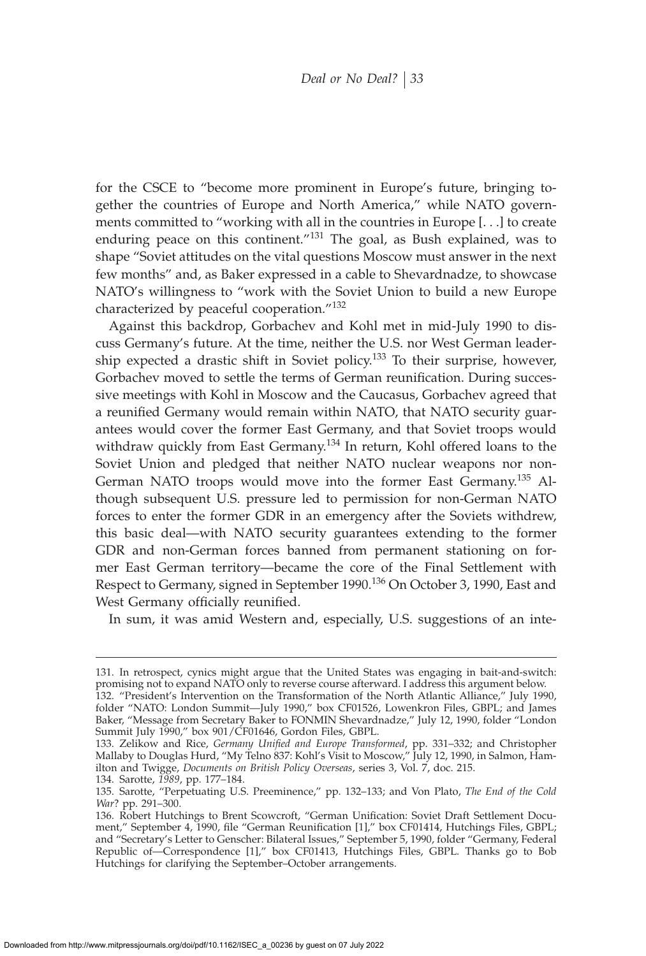for the CSCE to "become more prominent in Europe's future, bringing together the countries of Europe and North America," while NATO governments committed to "working with all in the countries in Europe [. . .] to create enduring peace on this continent."<sup>131</sup> The goal, as Bush explained, was to shape "Soviet attitudes on the vital questions Moscow must answer in the next few months" and, as Baker expressed in a cable to Shevardnadze, to showcase NATO's willingness to "work with the Soviet Union to build a new Europe characterized by peaceful cooperation."<sup>132</sup>

Against this backdrop, Gorbachev and Kohl met in mid-July 1990 to discuss Germany's future. At the time, neither the U.S. nor West German leadership expected a drastic shift in Soviet policy.<sup>133</sup> To their surprise, however, Gorbachev moved to settle the terms of German reunification. During successive meetings with Kohl in Moscow and the Caucasus, Gorbachev agreed that a reunified Germany would remain within NATO, that NATO security guarantees would cover the former East Germany, and that Soviet troops would withdraw quickly from East Germany.<sup>134</sup> In return, Kohl offered loans to the Soviet Union and pledged that neither NATO nuclear weapons nor non-German NATO troops would move into the former East Germany.<sup>135</sup> Although subsequent U.S. pressure led to permission for non-German NATO forces to enter the former GDR in an emergency after the Soviets withdrew, this basic deal—with NATO security guarantees extending to the former GDR and non-German forces banned from permanent stationing on former East German territory—became the core of the Final Settlement with Respect to Germany, signed in September 1990.<sup>136</sup> On October 3, 1990, East and West Germany officially reunified.

In sum, it was amid Western and, especially, U.S. suggestions of an inte-

<sup>131.</sup> In retrospect, cynics might argue that the United States was engaging in bait-and-switch: promising not to expand NATO only to reverse course afterward. I address this argument below.

<sup>132. &</sup>quot;President's Intervention on the Transformation of the North Atlantic Alliance," July 1990, folder "NATO: London Summit—July 1990," box CF01526, Lowenkron Files, GBPL; and James Baker, "Message from Secretary Baker to FONMIN Shevardnadze," July 12, 1990, folder "London Summit July 1990," box 901/CF01646, Gordon Files, GBPL.

<sup>133.</sup> Zelikow and Rice, *Germany Unified and Europe Transformed*, pp. 331-332; and Christopher Mallaby to Douglas Hurd, "My Telno 837: Kohl's Visit to Moscow," July 12, 1990, in Salmon, Hamilton and Twigge, *Documents on British Policy Overseas*, series 3, Vol. 7, doc. 215.

<sup>134.</sup> Sarotte, *1989*, pp. 177–184.

<sup>135.</sup> Sarotte, "Perpetuating U.S. Preeminence," pp. 132–133; and Von Plato, *The End of the Cold War*? pp. 291–300.

<sup>136.</sup> Robert Hutchings to Brent Scowcroft, "German Unification: Soviet Draft Settlement Document," September 4, 1990, file "German Reunification [1]," box CF01414, Hutchings Files, GBPL; and "Secretary's Letter to Genscher: Bilateral Issues," September 5, 1990, folder "Germany, Federal Republic of—Correspondence [1]," box CF01413, Hutchings Files, GBPL. Thanks go to Bob Hutchings for clarifying the September–October arrangements.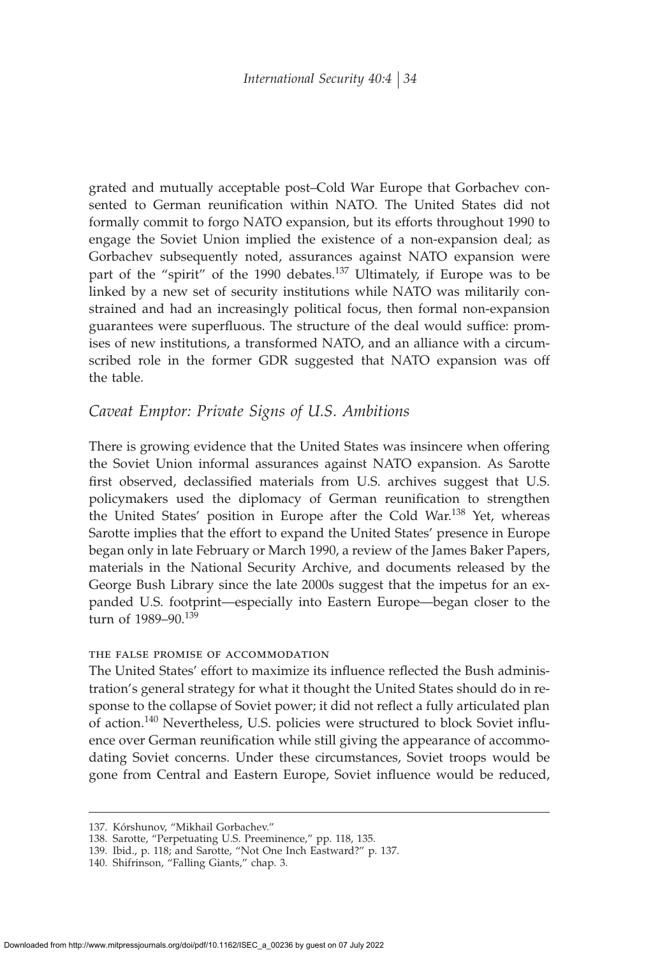grated and mutually acceptable post–Cold War Europe that Gorbachev consented to German reunification within NATO. The United States did not formally commit to forgo NATO expansion, but its efforts throughout 1990 to engage the Soviet Union implied the existence of a non-expansion deal; as Gorbachev subsequently noted, assurances against NATO expansion were part of the "spirit" of the 1990 debates.<sup>137</sup> Ultimately, if Europe was to be linked by a new set of security institutions while NATO was militarily constrained and had an increasingly political focus, then formal non-expansion guarantees were superfluous. The structure of the deal would suffice: promises of new institutions, a transformed NATO, and an alliance with a circumscribed role in the former GDR suggested that NATO expansion was off the table.

# *Caveat Emptor: Private Signs of U.S. Ambitions*

There is growing evidence that the United States was insincere when offering the Soviet Union informal assurances against NATO expansion. As Sarotte first observed, declassified materials from U.S. archives suggest that U.S. policymakers used the diplomacy of German reunification to strengthen the United States' position in Europe after the Cold War.<sup>138</sup> Yet, whereas Sarotte implies that the effort to expand the United States' presence in Europe began only in late February or March 1990, a review of the James Baker Papers, materials in the National Security Archive, and documents released by the George Bush Library since the late 2000s suggest that the impetus for an expanded U.S. footprint—especially into Eastern Europe—began closer to the  $t$ urn of 1989–90 $139$ 

#### the false promise of accommodation

The United States' effort to maximize its influence reflected the Bush administration's general strategy for what it thought the United States should do in response to the collapse of Soviet power; it did not reflect a fully articulated plan of action.<sup>140</sup> Nevertheless, U.S. policies were structured to block Soviet influence over German reunification while still giving the appearance of accommodating Soviet concerns. Under these circumstances, Soviet troops would be gone from Central and Eastern Europe, Soviet influence would be reduced,

<sup>137.</sup> Kórshunov, "Mikhail Gorbachev."

<sup>138.</sup> Sarotte, "Perpetuating U.S. Preeminence," pp. 118, 135.

<sup>139.</sup> Ibid., p. 118; and Sarotte, "Not One Inch Eastward?" p. 137.

<sup>140.</sup> Shifrinson, "Falling Giants," chap. 3.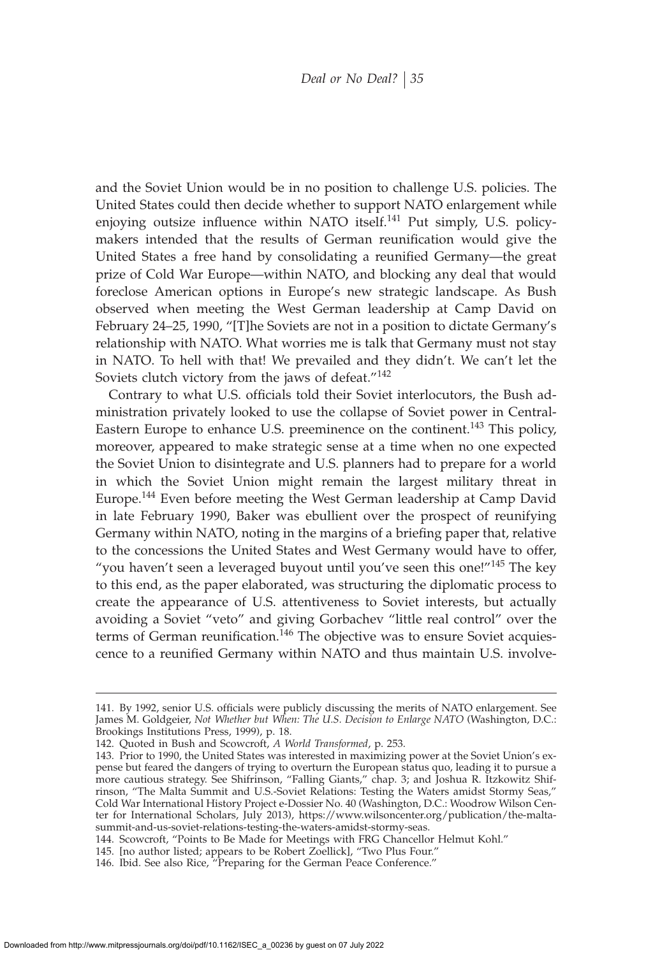and the Soviet Union would be in no position to challenge U.S. policies. The United States could then decide whether to support NATO enlargement while enjoying outsize influence within NATO itself.<sup>141</sup> Put simply, U.S. policymakers intended that the results of German reunification would give the United States a free hand by consolidating a reunified Germany—the great prize of Cold War Europe—within NATO, and blocking any deal that would foreclose American options in Europe's new strategic landscape. As Bush observed when meeting the West German leadership at Camp David on February 24–25, 1990, "[T]he Soviets are not in a position to dictate Germany's relationship with NATO. What worries me is talk that Germany must not stay in NATO. To hell with that! We prevailed and they didn't. We can't let the Soviets clutch victory from the jaws of defeat."<sup>142</sup>

Contrary to what U.S. officials told their Soviet interlocutors, the Bush administration privately looked to use the collapse of Soviet power in Central-Eastern Europe to enhance U.S. preeminence on the continent.<sup>143</sup> This policy, moreover, appeared to make strategic sense at a time when no one expected the Soviet Union to disintegrate and U.S. planners had to prepare for a world in which the Soviet Union might remain the largest military threat in Europe.<sup>144</sup> Even before meeting the West German leadership at Camp David in late February 1990, Baker was ebullient over the prospect of reunifying Germany within NATO, noting in the margins of a briefing paper that, relative to the concessions the United States and West Germany would have to offer, "you haven't seen a leveraged buyout until you've seen this one!" $145$  The key to this end, as the paper elaborated, was structuring the diplomatic process to create the appearance of U.S. attentiveness to Soviet interests, but actually avoiding a Soviet "veto" and giving Gorbachev "little real control" over the terms of German reunification.<sup>146</sup> The objective was to ensure Soviet acquiescence to a reunified Germany within NATO and thus maintain U.S. involve-

145. [no author listed; appears to be Robert Zoellick], "Two Plus Four."

<sup>141.</sup> By 1992, senior U.S. officials were publicly discussing the merits of NATO enlargement. See James M. Goldgeier, *Not Whether but When: The U.S. Decision to Enlarge NATO* (Washington, D.C.: Brookings Institutions Press, 1999), p. 18.

<sup>142.</sup> Quoted in Bush and Scowcroft, *A World Transformed*, p. 253.

<sup>143.</sup> Prior to 1990, the United States was interested in maximizing power at the Soviet Union's expense but feared the dangers of trying to overturn the European status quo, leading it to pursue a more cautious strategy. See Shifrinson, "Falling Giants," chap. 3; and Joshua R. Itzkowitz Shifrinson, "The Malta Summit and U.S.-Soviet Relations: Testing the Waters amidst Stormy Seas," Cold War International History Project e-Dossier No. 40 (Washington, D.C.: Woodrow Wilson Center for International Scholars, July 2013), https://www.wilsoncenter.org/publication/the-maltasummit-and-us-soviet-relations-testing-the-waters-amidst-stormy-seas.

<sup>144.</sup> Scowcroft, "Points to Be Made for Meetings with FRG Chancellor Helmut Kohl."

<sup>146.</sup> Ibid. See also Rice, "Preparing for the German Peace Conference."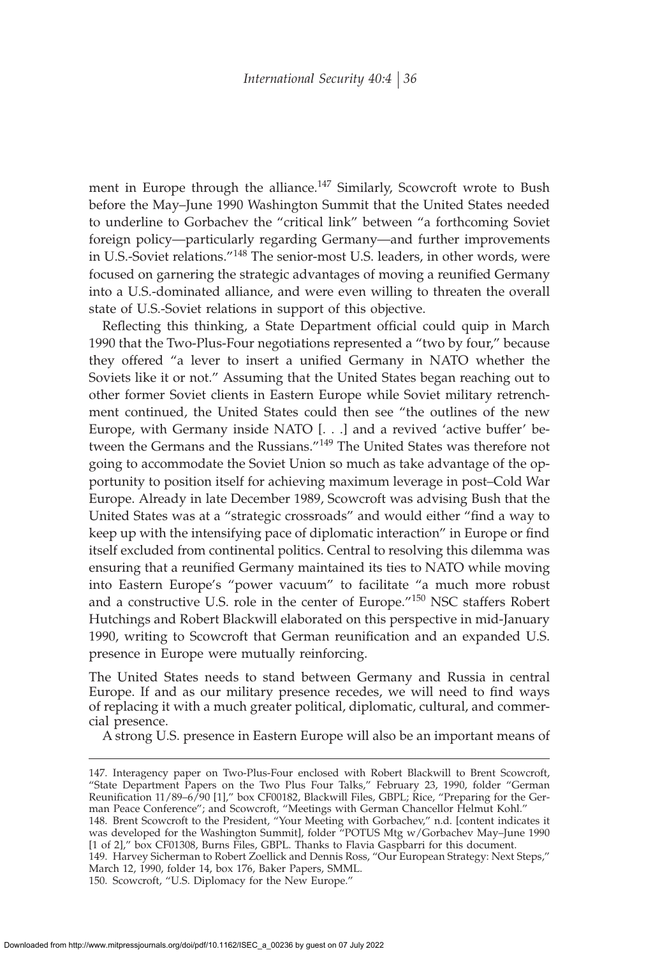ment in Europe through the alliance.<sup>147</sup> Similarly, Scowcroft wrote to Bush before the May–June 1990 Washington Summit that the United States needed to underline to Gorbachev the "critical link" between "a forthcoming Soviet foreign policy—particularly regarding Germany—and further improvements in U.S.-Soviet relations."<sup>148</sup> The senior-most U.S. leaders, in other words, were focused on garnering the strategic advantages of moving a reunified Germany into a U.S.-dominated alliance, and were even willing to threaten the overall state of U.S.-Soviet relations in support of this objective.

Reflecting this thinking, a State Department official could quip in March 1990 that the Two-Plus-Four negotiations represented a "two by four," because they offered "a lever to insert a unified Germany in NATO whether the Soviets like it or not." Assuming that the United States began reaching out to other former Soviet clients in Eastern Europe while Soviet military retrenchment continued, the United States could then see "the outlines of the new Europe, with Germany inside NATO [. . .] and a revived 'active buffer' between the Germans and the Russians."<sup>149</sup> The United States was therefore not going to accommodate the Soviet Union so much as take advantage of the opportunity to position itself for achieving maximum leverage in post–Cold War Europe. Already in late December 1989, Scowcroft was advising Bush that the United States was at a "strategic crossroads" and would either "find a way to keep up with the intensifying pace of diplomatic interaction" in Europe or find itself excluded from continental politics. Central to resolving this dilemma was ensuring that a reunified Germany maintained its ties to NATO while moving into Eastern Europe's "power vacuum" to facilitate "a much more robust and a constructive U.S. role in the center of Europe."<sup>150</sup> NSC staffers Robert Hutchings and Robert Blackwill elaborated on this perspective in mid-January 1990, writing to Scowcroft that German reunification and an expanded U.S. presence in Europe were mutually reinforcing.

The United States needs to stand between Germany and Russia in central Europe. If and as our military presence recedes, we will need to find ways of replacing it with a much greater political, diplomatic, cultural, and commercial presence.

A strong U.S. presence in Eastern Europe will also be an important means of

March 12, 1990, folder 14, box 176, Baker Papers, SMML.

150. Scowcroft, "U.S. Diplomacy for the New Europe."

<sup>147.</sup> Interagency paper on Two-Plus-Four enclosed with Robert Blackwill to Brent Scowcroft, "State Department Papers on the Two Plus Four Talks," February 23, 1990, folder "German Reunification 11/89–6/90 [1]," box CF00182, Blackwill Files, GBPL; Rice, "Preparing for the German Peace Conference"; and Scowcroft, "Meetings with German Chancellor Helmut Kohl." 148. Brent Scowcroft to the President, "Your Meeting with Gorbachev," n.d. [content indicates it was developed for the Washington Summit], folder "POTUS Mtg w/Gorbachev May–June 1990 [1 of 2]," box CF01308, Burns Files, GBPL. Thanks to Flavia Gaspbarri for this document. 149. Harvey Sicherman to Robert Zoellick and Dennis Ross, "Our European Strategy: Next Steps,"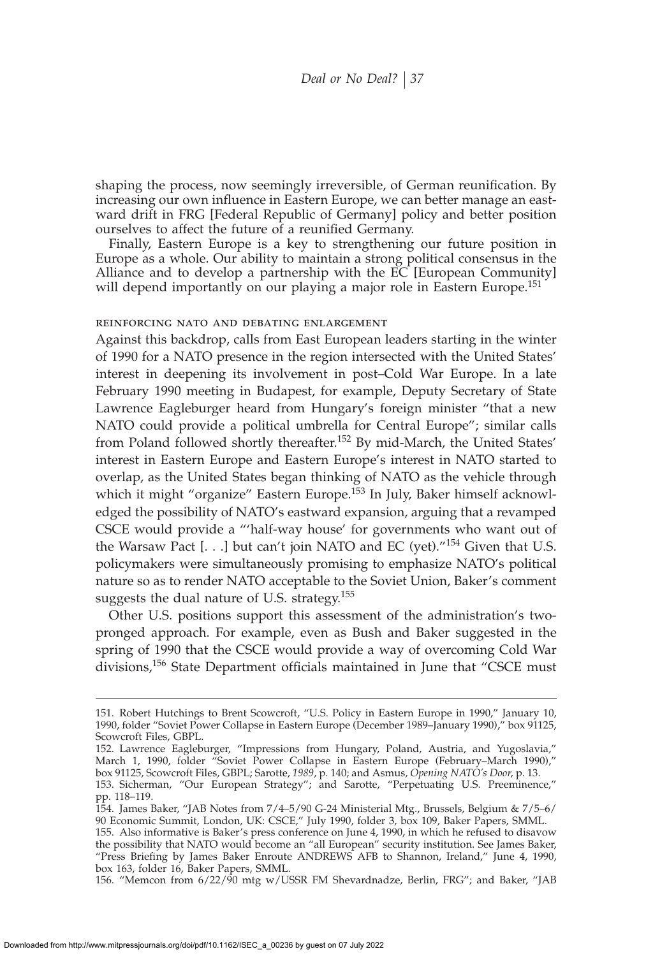shaping the process, now seemingly irreversible, of German reunification. By increasing our own influence in Eastern Europe, we can better manage an eastward drift in FRG [Federal Republic of Germany] policy and better position ourselves to affect the future of a reunified Germany.

Finally, Eastern Europe is a key to strengthening our future position in Europe as a whole. Our ability to maintain a strong political consensus in the Alliance and to develop a partnership with the EC [European Community] will depend importantly on our playing a major role in Eastern Europe.<sup>151</sup>

#### reinforcing nato and debating enlargement

Against this backdrop, calls from East European leaders starting in the winter of 1990 for a NATO presence in the region intersected with the United States' interest in deepening its involvement in post–Cold War Europe. In a late February 1990 meeting in Budapest, for example, Deputy Secretary of State Lawrence Eagleburger heard from Hungary's foreign minister "that a new NATO could provide a political umbrella for Central Europe"; similar calls from Poland followed shortly thereafter.<sup>152</sup> By mid-March, the United States' interest in Eastern Europe and Eastern Europe's interest in NATO started to overlap, as the United States began thinking of NATO as the vehicle through which it might "organize" Eastern Europe.<sup>153</sup> In July, Baker himself acknowledged the possibility of NATO's eastward expansion, arguing that a revamped CSCE would provide a "'half-way house' for governments who want out of the Warsaw Pact  $[...]$  but can't join NATO and EC (yet)."<sup>154</sup> Given that U.S. policymakers were simultaneously promising to emphasize NATO's political nature so as to render NATO acceptable to the Soviet Union, Baker's comment suggests the dual nature of U.S. strategy.<sup>155</sup>

Other U.S. positions support this assessment of the administration's twopronged approach. For example, even as Bush and Baker suggested in the spring of 1990 that the CSCE would provide a way of overcoming Cold War divisions,<sup>156</sup> State Department officials maintained in June that "CSCE must

156. "Memcon from 6/22/90 mtg w/USSR FM Shevardnadze, Berlin, FRG"; and Baker, "JAB

<sup>151.</sup> Robert Hutchings to Brent Scowcroft, "U.S. Policy in Eastern Europe in 1990," January 10, 1990, folder "Soviet Power Collapse in Eastern Europe (December 1989–January 1990)," box 91125, Scowcroft Files, GBPL.

<sup>152.</sup> Lawrence Eagleburger, "Impressions from Hungary, Poland, Austria, and Yugoslavia," March 1, 1990, folder "Soviet Power Collapse in Eastern Europe (February–March 1990)," box 91125, Scowcroft Files, GBPL; Sarotte, *1989*, p. 140; and Asmus, *Opening NATO's Door*, p. 13.

<sup>153.</sup> Sicherman, "Our European Strategy"; and Sarotte, "Perpetuating U.S. Preeminence," pp. 118–119.

<sup>154.</sup> James Baker, "JAB Notes from 7/4–5/90 G-24 Ministerial Mtg., Brussels, Belgium & 7/5–6/ 90 Economic Summit, London, UK: CSCE," July 1990, folder 3, box 109, Baker Papers, SMML.

<sup>155.</sup> Also informative is Baker's press conference on June 4, 1990, in which he refused to disavow the possibility that NATO would become an "all European" security institution. See James Baker, "Press Briefing by James Baker Enroute ANDREWS AFB to Shannon, Ireland," June 4, 1990, box 163, folder 16, Baker Papers, SMML.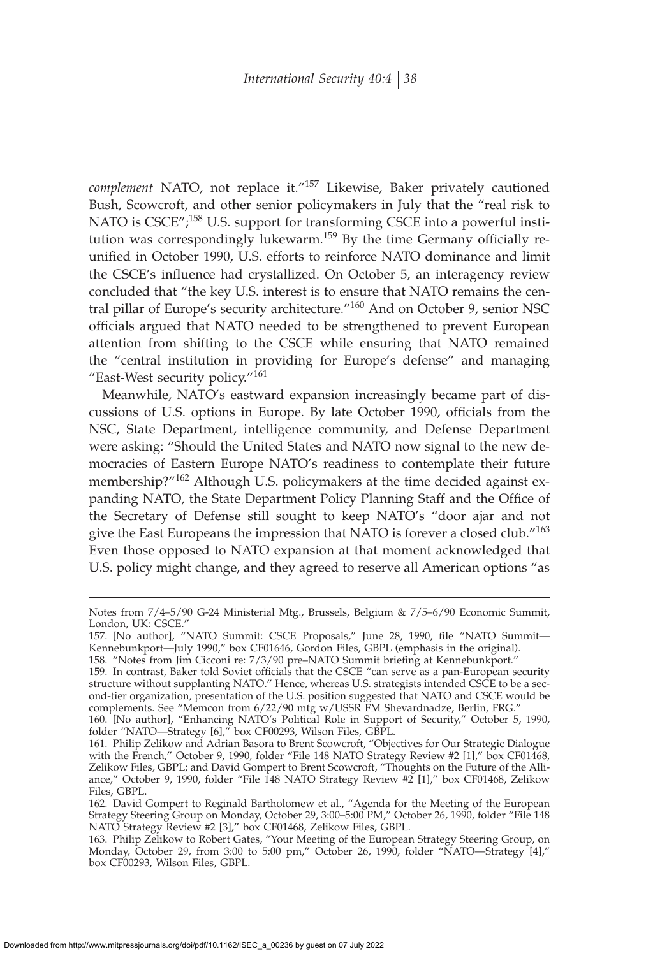*complement* NATO, not replace it."<sup>157</sup> Likewise, Baker privately cautioned Bush, Scowcroft, and other senior policymakers in July that the "real risk to NATO is CSCE";<sup>158</sup> U.S. support for transforming CSCE into a powerful institution was correspondingly lukewarm.<sup>159</sup> By the time Germany officially reunified in October 1990, U.S. efforts to reinforce NATO dominance and limit the CSCE's influence had crystallized. On October 5, an interagency review concluded that "the key U.S. interest is to ensure that NATO remains the central pillar of Europe's security architecture."<sup>160</sup> And on October 9, senior NSC officials argued that NATO needed to be strengthened to prevent European attention from shifting to the CSCE while ensuring that NATO remained the "central institution in providing for Europe's defense" and managing "East-West security policy."<sup>161</sup>

Meanwhile, NATO's eastward expansion increasingly became part of discussions of U.S. options in Europe. By late October 1990, officials from the NSC, State Department, intelligence community, and Defense Department were asking: "Should the United States and NATO now signal to the new democracies of Eastern Europe NATO's readiness to contemplate their future membership?"<sup>162</sup> Although U.S. policymakers at the time decided against expanding NATO, the State Department Policy Planning Staff and the Office of the Secretary of Defense still sought to keep NATO's "door ajar and not give the East Europeans the impression that NATO is forever a closed club."<sup>163</sup> Even those opposed to NATO expansion at that moment acknowledged that U.S. policy might change, and they agreed to reserve all American options "as

Notes from 7/4–5/90 G-24 Ministerial Mtg., Brussels, Belgium & 7/5–6/90 Economic Summit, London, UK: CSCE."

<sup>157. [</sup>No author], "NATO Summit: CSCE Proposals," June 28, 1990, file "NATO Summit-Kennebunkport—July 1990," box CF01646, Gordon Files, GBPL (emphasis in the original).

<sup>158. &</sup>quot;Notes from Jim Cicconi re: 7/3/90 pre–NATO Summit briefing at Kennebunkport."

<sup>159.</sup> In contrast, Baker told Soviet officials that the CSCE "can serve as a pan-European security structure without supplanting NATO." Hence, whereas U.S. strategists intended CSCE to be a second-tier organization, presentation of the U.S. position suggested that NATO and CSCE would be complements. See "Memcon from 6/22/90 mtg w/USSR FM Shevardnadze, Berlin, FRG."

<sup>160. [</sup>No author], "Enhancing NATO's Political Role in Support of Security," October 5, 1990, folder "NATO—Strategy [6]," box CF00293, Wilson Files, GBPL.

<sup>161.</sup> Philip Zelikow and Adrian Basora to Brent Scowcroft, "Objectives for Our Strategic Dialogue with the French," October 9, 1990, folder "File 148 NATO Strategy Review #2 [1]," box CF01468, Zelikow Files, GBPL; and David Gompert to Brent Scowcroft, "Thoughts on the Future of the Alliance," October 9, 1990, folder "File 148 NATO Strategy Review #2 [1]," box CF01468, Zelikow Files, GBPL.

<sup>162.</sup> David Gompert to Reginald Bartholomew et al., "Agenda for the Meeting of the European Strategy Steering Group on Monday, October 29, 3:00–5:00 PM," October 26, 1990, folder "File 148 NATO Strategy Review #2 [3]," box CF01468, Zelikow Files, GBPL.

<sup>163.</sup> Philip Zelikow to Robert Gates, "Your Meeting of the European Strategy Steering Group, on Monday, October 29, from 3:00 to 5:00 pm," October 26, 1990, folder "NATO—Strategy [4]," box CF00293, Wilson Files, GBPL.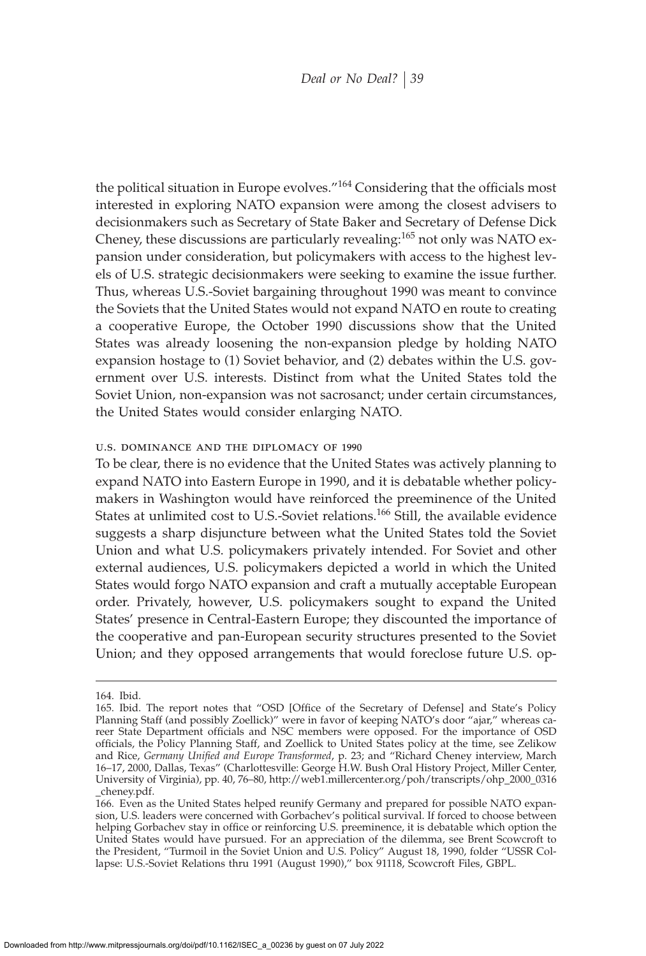the political situation in Europe evolves."<sup>164</sup> Considering that the officials most interested in exploring NATO expansion were among the closest advisers to decisionmakers such as Secretary of State Baker and Secretary of Defense Dick Cheney, these discussions are particularly revealing:<sup>165</sup> not only was NATO expansion under consideration, but policymakers with access to the highest levels of U.S. strategic decisionmakers were seeking to examine the issue further. Thus, whereas U.S.-Soviet bargaining throughout 1990 was meant to convince the Soviets that the United States would not expand NATO en route to creating a cooperative Europe, the October 1990 discussions show that the United States was already loosening the non-expansion pledge by holding NATO expansion hostage to (1) Soviet behavior, and (2) debates within the U.S. government over U.S. interests. Distinct from what the United States told the Soviet Union, non-expansion was not sacrosanct; under certain circumstances, the United States would consider enlarging NATO.

#### u.s. dominance and the diplomacy of 1990

To be clear, there is no evidence that the United States was actively planning to expand NATO into Eastern Europe in 1990, and it is debatable whether policymakers in Washington would have reinforced the preeminence of the United States at unlimited cost to U.S.-Soviet relations.<sup>166</sup> Still, the available evidence suggests a sharp disjuncture between what the United States told the Soviet Union and what U.S. policymakers privately intended. For Soviet and other external audiences, U.S. policymakers depicted a world in which the United States would forgo NATO expansion and craft a mutually acceptable European order. Privately, however, U.S. policymakers sought to expand the United States' presence in Central-Eastern Europe; they discounted the importance of the cooperative and pan-European security structures presented to the Soviet Union; and they opposed arrangements that would foreclose future U.S. op-

<sup>164.</sup> Ibid.

<sup>165.</sup> Ibid. The report notes that "OSD [Office of the Secretary of Defense] and State's Policy Planning Staff (and possibly Zoellick)" were in favor of keeping NATO's door "ajar," whereas career State Department officials and NSC members were opposed. For the importance of OSD officials, the Policy Planning Staff, and Zoellick to United States policy at the time, see Zelikow and Rice, *Germany Unified and Europe Transformed*, p. 23; and "Richard Cheney interview, March 16–17, 2000, Dallas, Texas" (Charlottesville: George H.W. Bush Oral History Project, Miller Center, University of Virginia), pp. 40, 76–80, http://web1.millercenter.org/poh/transcripts/ohp\_2000\_0316 \_cheney.pdf.

<sup>166.</sup> Even as the United States helped reunify Germany and prepared for possible NATO expansion, U.S. leaders were concerned with Gorbachev's political survival. If forced to choose between helping Gorbachev stay in office or reinforcing U.S. preeminence, it is debatable which option the United States would have pursued. For an appreciation of the dilemma, see Brent Scowcroft to the President, "Turmoil in the Soviet Union and U.S. Policy" August 18, 1990, folder "USSR Collapse: U.S.-Soviet Relations thru 1991 (August 1990)," box 91118, Scowcroft Files, GBPL.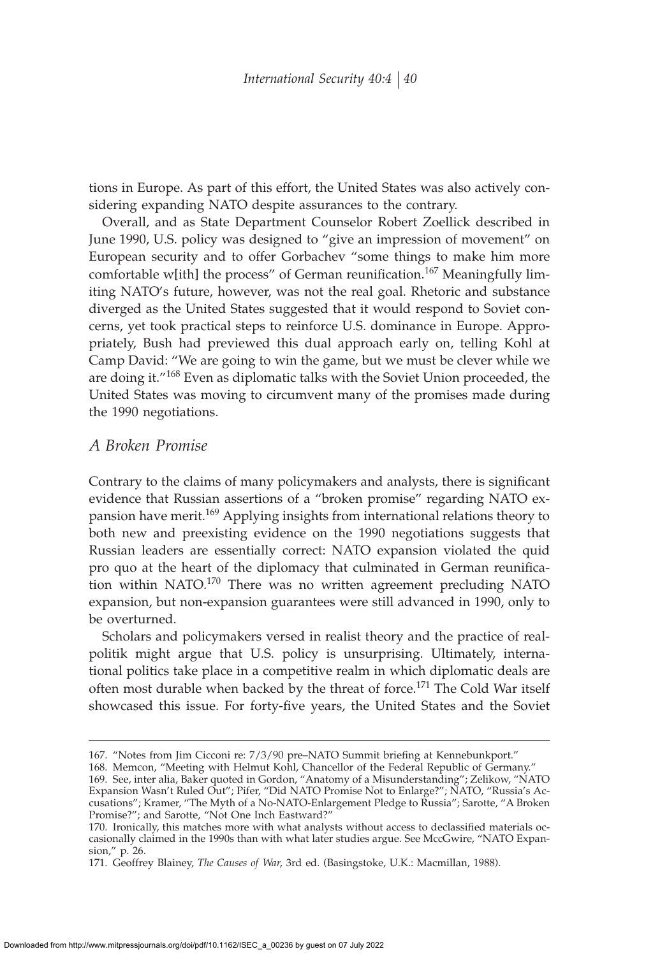tions in Europe. As part of this effort, the United States was also actively considering expanding NATO despite assurances to the contrary.

Overall, and as State Department Counselor Robert Zoellick described in June 1990, U.S. policy was designed to "give an impression of movement" on European security and to offer Gorbachev "some things to make him more comfortable w[ith] the process" of German reunification.<sup>167</sup> Meaningfully limiting NATO's future, however, was not the real goal. Rhetoric and substance diverged as the United States suggested that it would respond to Soviet concerns, yet took practical steps to reinforce U.S. dominance in Europe. Appropriately, Bush had previewed this dual approach early on, telling Kohl at Camp David: "We are going to win the game, but we must be clever while we are doing it."<sup>168</sup> Even as diplomatic talks with the Soviet Union proceeded, the United States was moving to circumvent many of the promises made during the 1990 negotiations.

# *A Broken Promise*

Contrary to the claims of many policymakers and analysts, there is significant evidence that Russian assertions of a "broken promise" regarding NATO expansion have merit.<sup>169</sup> Applying insights from international relations theory to both new and preexisting evidence on the 1990 negotiations suggests that Russian leaders are essentially correct: NATO expansion violated the quid pro quo at the heart of the diplomacy that culminated in German reunification within NATO.<sup>170</sup> There was no written agreement precluding NATO expansion, but non-expansion guarantees were still advanced in 1990, only to be overturned.

Scholars and policymakers versed in realist theory and the practice of realpolitik might argue that U.S. policy is unsurprising. Ultimately, international politics take place in a competitive realm in which diplomatic deals are often most durable when backed by the threat of force.<sup>171</sup> The Cold War itself showcased this issue. For forty-five years, the United States and the Soviet

<sup>167. &</sup>quot;Notes from Jim Cicconi re: 7/3/90 pre-NATO Summit briefing at Kennebunkport."

<sup>168.</sup> Memcon, "Meeting with Helmut Kohl, Chancellor of the Federal Republic of Germany." 169. See, inter alia, Baker quoted in Gordon, "Anatomy of a Misunderstanding"; Zelikow, "NATO Expansion Wasn't Ruled Out"; Pifer, "Did NATO Promise Not to Enlarge?"; NATO, "Russia's Accusations"; Kramer, "The Myth of a No-NATO-Enlargement Pledge to Russia"; Sarotte, "A Broken Promise?"; and Sarotte, "Not One Inch Eastward?"

<sup>170.</sup> Ironically, this matches more with what analysts without access to declassified materials occasionally claimed in the 1990s than with what later studies argue. See MccGwire, "NATO Expansion," p. 26.

<sup>171.</sup> Geoffrey Blainey, *The Causes of War*, 3rd ed. (Basingstoke, U.K.: Macmillan, 1988).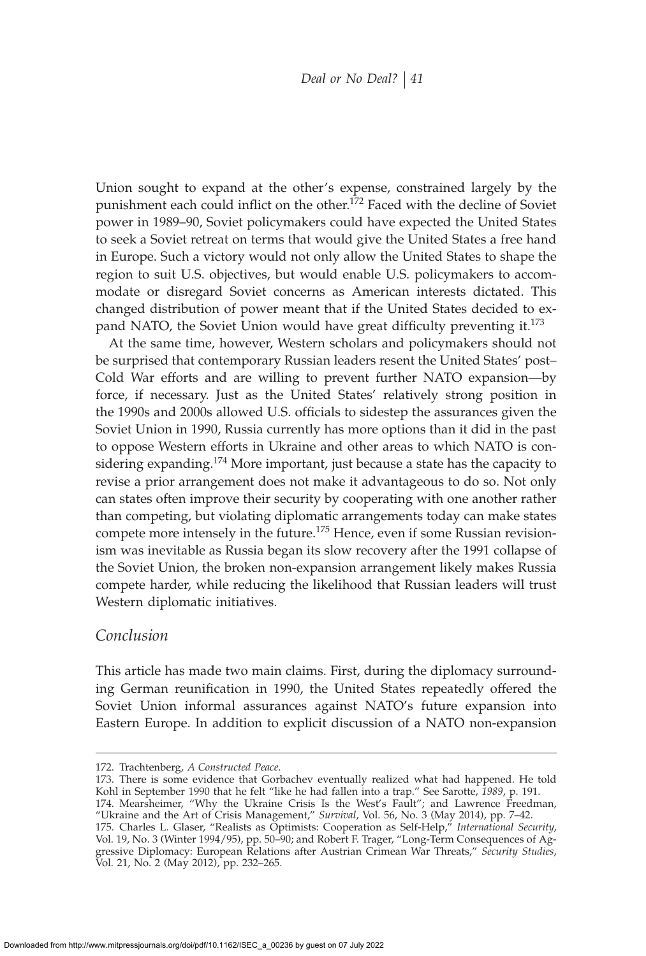Union sought to expand at the other's expense, constrained largely by the punishment each could inflict on the other.<sup>172</sup> Faced with the decline of Soviet power in 1989–90, Soviet policymakers could have expected the United States to seek a Soviet retreat on terms that would give the United States a free hand in Europe. Such a victory would not only allow the United States to shape the region to suit U.S. objectives, but would enable U.S. policymakers to accommodate or disregard Soviet concerns as American interests dictated. This changed distribution of power meant that if the United States decided to expand NATO, the Soviet Union would have great difficulty preventing it. $173$ 

At the same time, however, Western scholars and policymakers should not be surprised that contemporary Russian leaders resent the United States' post– Cold War efforts and are willing to prevent further NATO expansion—by force, if necessary. Just as the United States' relatively strong position in the 1990s and 2000s allowed U.S. officials to sidestep the assurances given the Soviet Union in 1990, Russia currently has more options than it did in the past to oppose Western efforts in Ukraine and other areas to which NATO is considering expanding.<sup>174</sup> More important, just because a state has the capacity to revise a prior arrangement does not make it advantageous to do so. Not only can states often improve their security by cooperating with one another rather than competing, but violating diplomatic arrangements today can make states compete more intensely in the future.<sup>175</sup> Hence, even if some Russian revisionism was inevitable as Russia began its slow recovery after the 1991 collapse of the Soviet Union, the broken non-expansion arrangement likely makes Russia compete harder, while reducing the likelihood that Russian leaders will trust Western diplomatic initiatives.

## *Conclusion*

This article has made two main claims. First, during the diplomacy surrounding German reunification in 1990, the United States repeatedly offered the Soviet Union informal assurances against NATO's future expansion into Eastern Europe. In addition to explicit discussion of a NATO non-expansion

173. There is some evidence that Gorbachev eventually realized what had happened. He told Kohl in September 1990 that he felt "like he had fallen into a trap." See Sarotte, *1989*, p. 191. 174. Mearsheimer, "Why the Ukraine Crisis Is the West's Fault"; and Lawrence Freedman, "Ukraine and the Art of Crisis Management," *Survival*, Vol. 56, No. 3 (May 2014), pp. 7–42. 175. Charles L. Glaser, "Realists as Optimists: Cooperation as Self-Help," *International Security*, Vol. 19, No. 3 (Winter 1994/95), pp. 50–90; and Robert F. Trager, "Long-Term Consequences of Aggressive Diplomacy: European Relations after Austrian Crimean War Threats," *Security Studies*, Vol. 21, No. 2 (May 2012), pp. 232–265.

<sup>172.</sup> Trachtenberg, *A Constructed Peace*.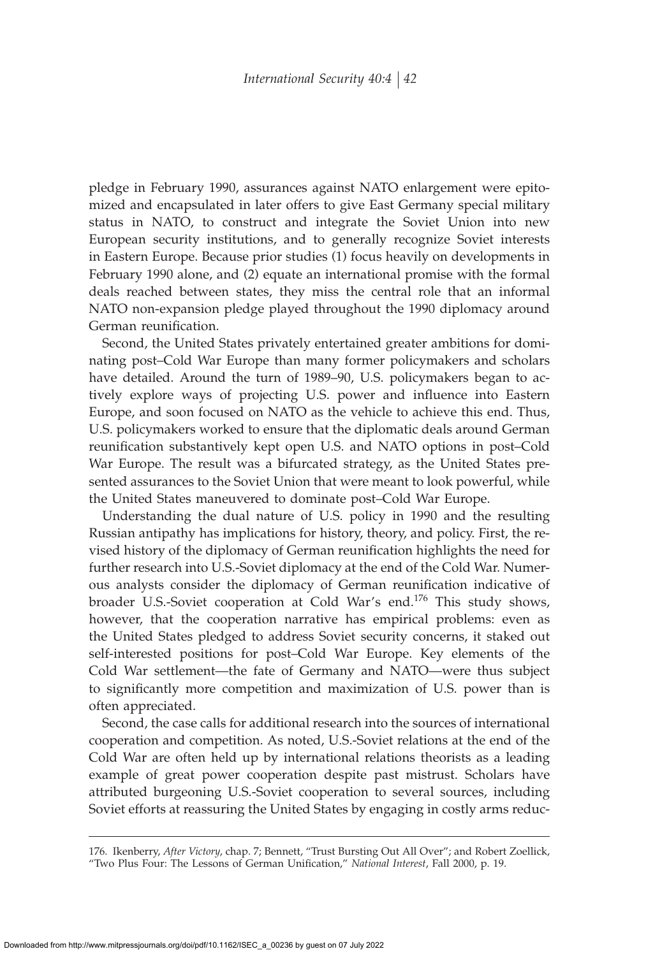pledge in February 1990, assurances against NATO enlargement were epitomized and encapsulated in later offers to give East Germany special military status in NATO, to construct and integrate the Soviet Union into new European security institutions, and to generally recognize Soviet interests in Eastern Europe. Because prior studies (1) focus heavily on developments in February 1990 alone, and (2) equate an international promise with the formal deals reached between states, they miss the central role that an informal NATO non-expansion pledge played throughout the 1990 diplomacy around German reunification.

Second, the United States privately entertained greater ambitions for dominating post–Cold War Europe than many former policymakers and scholars have detailed. Around the turn of 1989–90, U.S. policymakers began to actively explore ways of projecting U.S. power and influence into Eastern Europe, and soon focused on NATO as the vehicle to achieve this end. Thus, U.S. policymakers worked to ensure that the diplomatic deals around German reunification substantively kept open U.S. and NATO options in post-Cold War Europe. The result was a bifurcated strategy, as the United States presented assurances to the Soviet Union that were meant to look powerful, while the United States maneuvered to dominate post–Cold War Europe.

Understanding the dual nature of U.S. policy in 1990 and the resulting Russian antipathy has implications for history, theory, and policy. First, the revised history of the diplomacy of German reunification highlights the need for further research into U.S.-Soviet diplomacy at the end of the Cold War. Numerous analysts consider the diplomacy of German reunification indicative of broader U.S.-Soviet cooperation at Cold War's end.<sup>176</sup> This study shows, however, that the cooperation narrative has empirical problems: even as the United States pledged to address Soviet security concerns, it staked out self-interested positions for post–Cold War Europe. Key elements of the Cold War settlement—the fate of Germany and NATO—were thus subject to significantly more competition and maximization of U.S. power than is often appreciated.

Second, the case calls for additional research into the sources of international cooperation and competition. As noted, U.S.-Soviet relations at the end of the Cold War are often held up by international relations theorists as a leading example of great power cooperation despite past mistrust. Scholars have attributed burgeoning U.S.-Soviet cooperation to several sources, including Soviet efforts at reassuring the United States by engaging in costly arms reduc-

<sup>176.</sup> Ikenberry, *After Victory*, chap. 7; Bennett, "Trust Bursting Out All Over"; and Robert Zoellick, "Two Plus Four: The Lessons of German Unification," National Interest, Fall 2000, p. 19.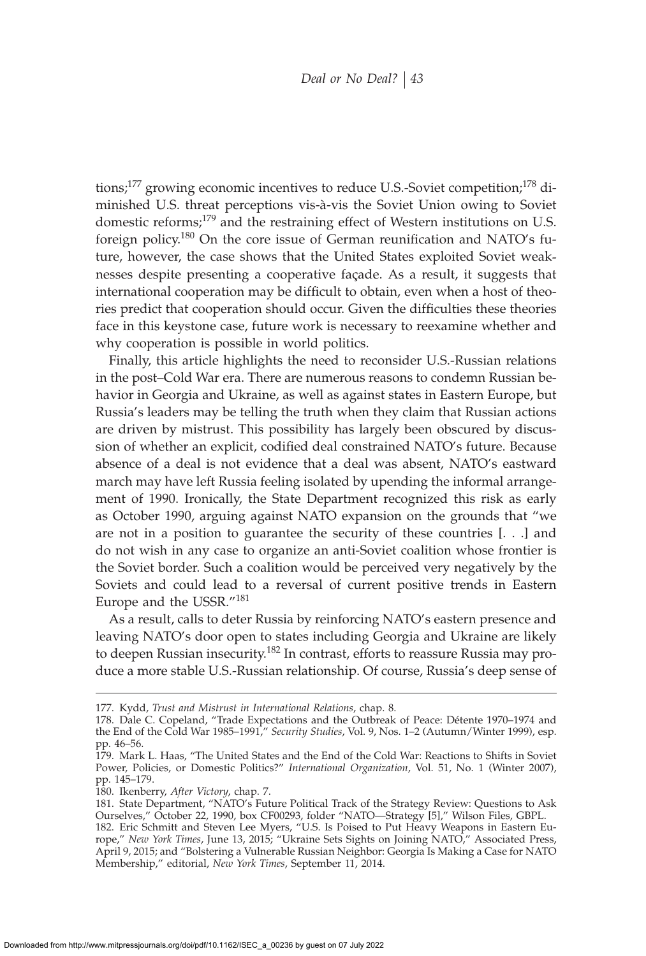tions;<sup>177</sup> growing economic incentives to reduce U.S.-Soviet competition;<sup>178</sup> diminished U.S. threat perceptions vis-à-vis the Soviet Union owing to Soviet domestic reforms;<sup>179</sup> and the restraining effect of Western institutions on U.S. foreign policy.<sup>180</sup> On the core issue of German reunification and NATO's future, however, the case shows that the United States exploited Soviet weaknesses despite presenting a cooperative façade. As a result, it suggests that international cooperation may be difficult to obtain, even when a host of theories predict that cooperation should occur. Given the difficulties these theories face in this keystone case, future work is necessary to reexamine whether and why cooperation is possible in world politics.

Finally, this article highlights the need to reconsider U.S.-Russian relations in the post–Cold War era. There are numerous reasons to condemn Russian behavior in Georgia and Ukraine, as well as against states in Eastern Europe, but Russia's leaders may be telling the truth when they claim that Russian actions are driven by mistrust. This possibility has largely been obscured by discussion of whether an explicit, codified deal constrained NATO's future. Because absence of a deal is not evidence that a deal was absent, NATO's eastward march may have left Russia feeling isolated by upending the informal arrangement of 1990. Ironically, the State Department recognized this risk as early as October 1990, arguing against NATO expansion on the grounds that "we are not in a position to guarantee the security of these countries [. . .] and do not wish in any case to organize an anti-Soviet coalition whose frontier is the Soviet border. Such a coalition would be perceived very negatively by the Soviets and could lead to a reversal of current positive trends in Eastern Europe and the USSR."<sup>181</sup>

As a result, calls to deter Russia by reinforcing NATO's eastern presence and leaving NATO's door open to states including Georgia and Ukraine are likely to deepen Russian insecurity.<sup>182</sup> In contrast, efforts to reassure Russia may produce a more stable U.S.-Russian relationship. Of course, Russia's deep sense of

<sup>177.</sup> Kydd, *Trust and Mistrust in International Relations*, chap. 8.

<sup>178.</sup> Dale C. Copeland, "Trade Expectations and the Outbreak of Peace: Détente 1970–1974 and the End of the Cold War 1985–1991," *Security Studies*, Vol. 9, Nos. 1–2 (Autumn/Winter 1999), esp. pp. 46–56.

<sup>179.</sup> Mark L. Haas, "The United States and the End of the Cold War: Reactions to Shifts in Soviet Power, Policies, or Domestic Politics?" *International Organization*, Vol. 51, No. 1 (Winter 2007), pp. 145–179.

<sup>180.</sup> Ikenberry, *After Victory*, chap. 7.

<sup>181.</sup> State Department, "NATO's Future Political Track of the Strategy Review: Questions to Ask Ourselves," October 22, 1990, box CF00293, folder "NATO—Strategy [5]," Wilson Files, GBPL.

<sup>182.</sup> Eric Schmitt and Steven Lee Myers, "U.S. Is Poised to Put Heavy Weapons in Eastern Europe," *New York Times*, June 13, 2015; "Ukraine Sets Sights on Joining NATO," Associated Press, April 9, 2015; and "Bolstering a Vulnerable Russian Neighbor: Georgia Is Making a Case for NATO Membership," editorial, *New York Times*, September 11, 2014.